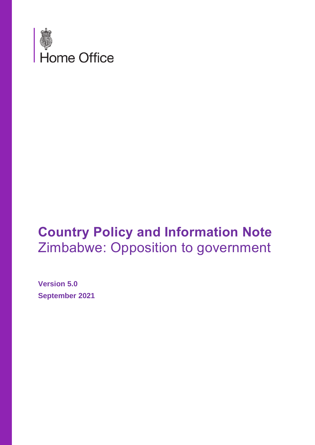

# **Country Policy and Information Note** Zimbabwe: Opposition to government

**Version 5.0 September 2021**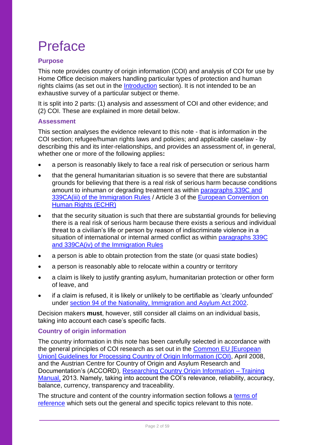# Preface

### **Purpose**

This note provides country of origin information (COI) and analysis of COI for use by Home Office decision makers handling particular types of protection and human rights claims (as set out in the [Introduction](#page-5-0) section). It is not intended to be an exhaustive survey of a particular subject or theme.

It is split into 2 parts: (1) analysis and assessment of COI and other evidence; and (2) COI. These are explained in more detail below.

### **Assessment**

This section analyses the evidence relevant to this note - that is information in the COI section; refugee/human rights laws and policies; and applicable caselaw - by describing this and its inter-relationships, and provides an assessment of, in general, whether one or more of the following applies**:**

- a person is reasonably likely to face a real risk of persecution or serious harm
- that the general humanitarian situation is so severe that there are substantial grounds for believing that there is a real risk of serious harm because conditions amount to inhuman or degrading treatment as within [paragraphs 339C and](https://www.gov.uk/guidance/immigration-rules/immigration-rules-part-11-asylum)  [339CA\(iii\) of the Immigration Rules](https://www.gov.uk/guidance/immigration-rules/immigration-rules-part-11-asylum) / Article 3 of the [European Convention on](https://www.echr.coe.int/Pages/home.aspx?p=basictexts&c=)  [Human Rights \(ECHR\)](https://www.echr.coe.int/Pages/home.aspx?p=basictexts&c=)
- that the security situation is such that there are substantial grounds for believing there is a real risk of serious harm because there exists a serious and individual threat to a civilian's life or person by reason of indiscriminate violence in a situation of international or internal armed conflict as within [paragraphs 339C](https://www.gov.uk/guidance/immigration-rules/immigration-rules-part-11-asylum)  [and 339CA\(iv\) of the Immigration Rules](https://www.gov.uk/guidance/immigration-rules/immigration-rules-part-11-asylum)
- a person is able to obtain protection from the state (or quasi state bodies)
- a person is reasonably able to relocate within a country or territory
- a claim is likely to justify granting asylum, humanitarian protection or other form of leave, and
- if a claim is refused, it is likely or unlikely to be certifiable as 'clearly unfounded' under [section 94 of the Nationality, Immigration and Asylum Act 2002.](https://www.legislation.gov.uk/ukpga/2002/41/section/94)

Decision makers **must**, however, still consider all claims on an individual basis, taking into account each case's specific facts.

### **Country of origin information**

The country information in this note has been carefully selected in accordance with the general principles of COI research as set out in the [Common EU \[European](http://www.refworld.org/docid/48493f7f2.html)  [Union\] Guidelines for Processing Country of Origin Information \(COI\),](http://www.refworld.org/docid/48493f7f2.html) April 2008, and the Austrian Centre for Country of Origin and Asylum Research and Documentation's (ACCORD), [Researching Country Origin Information –](https://www.coi-training.net/researching-coi/) Training [Manual,](https://www.coi-training.net/researching-coi/) 2013. Namely, taking into account the COI's relevance, reliability, accuracy, balance, currency, transparency and traceability.

The structure and content of the country information section follows a [terms of](#page-51-0) [reference](#page-51-0) which sets out the general and specific topics relevant to this note.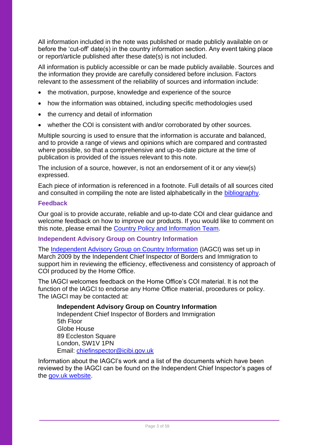All information included in the note was published or made publicly available on or before the 'cut-off' date(s) in the country information section. Any event taking place or report/article published after these date(s) is not included.

All information is publicly accessible or can be made publicly available. Sources and the information they provide are carefully considered before inclusion. Factors relevant to the assessment of the reliability of sources and information include:

- the motivation, purpose, knowledge and experience of the source
- how the information was obtained, including specific methodologies used
- the currency and detail of information
- whether the COI is consistent with and/or corroborated by other sources.

Multiple sourcing is used to ensure that the information is accurate and balanced, and to provide a range of views and opinions which are compared and contrasted where possible, so that a comprehensive and up-to-date picture at the time of publication is provided of the issues relevant to this note.

The inclusion of a source, however, is not an endorsement of it or any view(s) expressed.

Each piece of information is referenced in a footnote. Full details of all sources cited and consulted in compiling the note are listed alphabetically in the [bibliography.](https://ukhomeoffice.sharepoint.com/sites/PROC975/SharedDocuments/Countries/Bangladesh/CPINs/Bangladesh-Actors%20of%20protection-CPIN-v1.0(draft).docx#_Bibliography)

### **Feedback**

Our goal is to provide accurate, reliable and up-to-date COI and clear guidance and welcome feedback on how to improve our products. If you would like to comment on this note, please email the [Country Policy and Information Team.](mailto:cipu@homeoffice.gov.uk)

### **Independent Advisory Group on Country Information**

The [Independent Advisory Group on Country Information](https://www.gov.uk/government/organisations/independent-chief-inspector-of-borders-and-immigration/about/research) (IAGCI) was set up in March 2009 by the Independent Chief Inspector of Borders and Immigration to support him in reviewing the efficiency, effectiveness and consistency of approach of COI produced by the Home Office.

The IAGCI welcomes feedback on the Home Office's COI material. It is not the function of the IAGCI to endorse any Home Office material, procedures or policy. The IAGCI may be contacted at:

### **Independent Advisory Group on Country Information**

Independent Chief Inspector of Borders and Immigration 5th Floor Globe House 89 Eccleston Square London, SW1V 1PN Email: [chiefinspector@icibi.gov.uk](mailto:chiefinspector@icibi.gov.uk)

<span id="page-2-0"></span>Information about the IAGCI's work and a list of the documents which have been reviewed by the IAGCI can be found on the Independent Chief Inspector's pages of the [gov.uk website.](https://www.gov.uk/government/organisations/independent-chief-inspector-of-borders-and-immigration/about/research#reviews)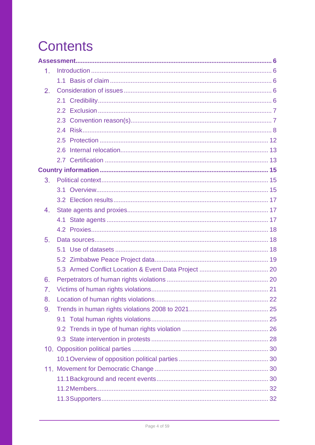# **Contents**

| 1. |  |
|----|--|
|    |  |
| 2. |  |
|    |  |
|    |  |
|    |  |
|    |  |
|    |  |
|    |  |
|    |  |
|    |  |
| 3. |  |
|    |  |
|    |  |
| 4. |  |
|    |  |
|    |  |
| 5. |  |
|    |  |
|    |  |
|    |  |
| 6. |  |
| 7. |  |
| 8. |  |
| 9. |  |
|    |  |
|    |  |
|    |  |
|    |  |
|    |  |
|    |  |
|    |  |
|    |  |
|    |  |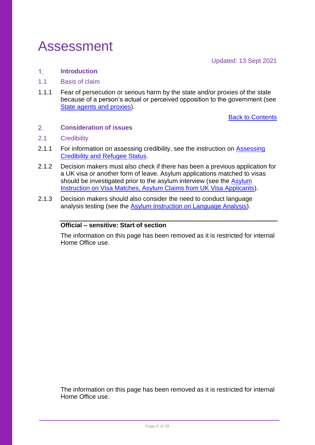## <span id="page-5-1"></span>Assessment

Updated: 13 Sept 2021

#### <span id="page-5-0"></span> $1<sub>1</sub>$ **Introduction**

- <span id="page-5-2"></span>1.1 Basis of claim
- 1.1.1 Fear of persecution or serious harm by the state and/or proxies of the state because of a person's actual or perceived opposition to the government (see [State agents and proxies\)](#page-16-1).

**[Back to Contents](#page-2-0)** 

#### <span id="page-5-3"></span> $2.$ **Consideration of issues**

### <span id="page-5-4"></span>2.1 Credibility

- 2.1.1 For information on assessing credibility, see the instruction on Assessing [Credibility and Refugee Status.](https://www.gov.uk/government/publications/considering-asylum-claims-and-assessing-credibility-instruction)
- 2.1.2 Decision makers must also check if there has been a previous application for a UK visa or another form of leave. Asylum applications matched to visas should be investigated prior to the asylum interview (see the Asylum [Instruction on Visa Matches, Asylum Claims from UK Visa Applicants\)](https://www.gov.uk/government/publications/visa-matches-handling-asylum-claims-from-uk-visa-applicants-instruction).
- 2.1.3 Decision makers should also consider the need to conduct language analysis testing (see the **Asylum Instruction on Language Analysis**).

### **Official – sensitive: Start of section**

The information on this page has been removed as it is restricted for internal Home Office use.

The information on this page has been removed as it is restricted for internal Home Office use.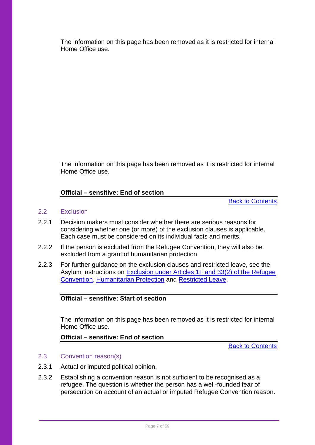The information on this page has been removed as it is restricted for internal Home Office use.

The information on this page has been removed as it is restricted for internal Home Office use.

### **Official – sensitive: End of section**

[Back to Contents](#page-2-0)

### <span id="page-6-0"></span>2.2 Exclusion

- 2.2.1 Decision makers must consider whether there are serious reasons for considering whether one (or more) of the exclusion clauses is applicable. Each case must be considered on its individual facts and merits.
- 2.2.2 If the person is excluded from the Refugee Convention, they will also be excluded from a grant of humanitarian protection.
- 2.2.3 For further guidance on the exclusion clauses and restricted leave, see the Asylum Instructions on [Exclusion under Articles 1F and 33\(2\) of the Refugee](https://www.gov.uk/government/publications/asylum-instruction-exclusion-article-1f-of-the-refugee-convention)  [Convention,](https://www.gov.uk/government/publications/asylum-instruction-exclusion-article-1f-of-the-refugee-convention) [Humanitarian Protection](https://www.gov.uk/government/publications/humanitarian-protection-instruction) and [Restricted Leave.](https://www.gov.uk/government/publications/restricted-leave-asylum-casework-instruction)

### **Official – sensitive: Start of section**

The information on this page has been removed as it is restricted for internal Home Office use.

### **Official – sensitive: End of section**

[Back to Contents](#page-2-0)

### <span id="page-6-1"></span>2.3 Convention reason(s)

- 2.3.1 Actual or imputed political opinion.
- 2.3.2 Establishing a convention reason is not sufficient to be recognised as a refugee. The question is whether the person has a well-founded fear of persecution on account of an actual or imputed Refugee Convention reason.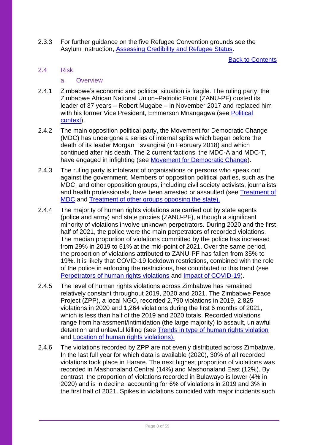2.3.3 For further guidance on the five Refugee Convention grounds see the Asylum Instruction, [Assessing Credibility and Refugee Status.](https://www.gov.uk/government/publications/considering-asylum-claims-and-assessing-credibility-instruction)

[Back to Contents](#page-2-0)

### <span id="page-7-0"></span>2.4 Risk

### a. Overview

- 2.4.1 Zimbabwe's economic and political situation is fragile. The ruling party, the Zimbabwe African National Union–Patriotic Front (ZANU-PF) ousted its leader of 37 years – Robert Mugabe – in November 2017 and replaced him with his former Vice President, Emmerson Mnangagwa (see Political [context\)](#page-14-1).
- 2.4.2 The main opposition political party, the Movement for Democratic Change (MDC) has undergone a series of internal splits which began before the death of its leader Morgan Tsvangirai (in February 2018) and which continued after his death. The 2 current factions, the MDC-A and MDC-T, have engaged in infighting (see [Movement for Democratic Change\)](#page-29-2).
- 2.4.3 The ruling party is intolerant of organisations or persons who speak out against the government. Members of opposition political parties, such as the MDC, and other opposition groups, including civil society activists, journalists and health professionals, have been arrested or assaulted (see [Treatment of](#page-39-0)  [MDC](#page-39-0) and [Treatment of other groups opposing the state\)](#page-43-0).
- 2.4.4 The majority of human rights violations are carried out by state agents (police and army) and state proxies (ZANU-PF), although a significant minority of violations involve unknown perpetrators. During 2020 and the first half of 2021, the police were the main perpetrators of recorded violations. The median proportion of violations committed by the police has increased from 29% in 2019 to 51% at the mid-point of 2021. Over the same period, the proportion of violations attributed to ZANU-PF has fallen from 35% to 19%. It is likely that COVID-19 lockdown restrictions, combined with the role of the police in enforcing the restrictions, has contributed to this trend (see [Perpetrators of human rights violations](#page-19-1) and [Impact of COVID-19\)](#page-35-0).
- 2.4.5 The level of human rights violations across Zimbabwe has remained relatively constant throughout 2019, 2020 and 2021. The Zimbabwe Peace Project (ZPP), a local NGO, recorded 2,790 violations in 2019, 2,825 violations in 2020 and 1,264 violations during the first 6 months of 2021, which is less than half of the 2019 and 2020 totals. Recorded violations range from harassment/intimidation (the large majority) to assault, unlawful detention and unlawful killing (see [Trends in type of human rights violation](#page-25-0) and [Location of human rights violations\)](#page-21-0).
- 2.4.6 The violations recorded by ZPP are not evenly distributed across Zimbabwe. In the last full year for which data is available (2020), 30% of all recorded violations took place in Harare. The next highest proportion of violations was recorded in Mashonaland Central (14%) and Mashonaland East (12%). By contrast, the proportion of violations recorded in Bulawayo is lower (4% in 2020) and is in decline, accounting for 6% of violations in 2019 and 3% in the first half of 2021. Spikes in violations coincided with major incidents such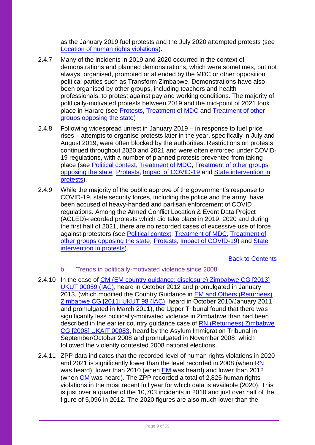as the January 2019 fuel protests and the July 2020 attempted protests (see [Location of human rights violations\)](#page-21-0).

- 2.4.7 Many of the incidents in 2019 and 2020 occurred in the context of demonstrations and planned demonstrations, which were sometimes, but not always, organised, promoted or attended by the MDC or other opposition political parties such as Transform Zimbabwe. Demonstrations have also been organised by other groups, including teachers and health professionals, to protest against pay and working conditions. The majority of politically-motivated protests between 2019 and the mid-point of 2021 took place in Harare (see [Protests,](#page-32-0) [Treatment of MDC](#page-39-0) and [Treatment of other](#page-43-0)  [groups opposing the state\)](#page-43-0)
- 2.4.8 Following widespread unrest in January 2019 in response to fuel price rises – attempts to organise protests later in the year, specifically in July and August 2019, were often blocked by the authorities. Restrictions on protests continued throughout 2020 and 2021 and were often enforced under COVID-19 regulations, with a number of planned protests prevented from taking place (see [Political context,](#page-14-1) [Treatment of MDC,](#page-39-0) [Treatment of other groups](#page-43-0)  [opposing the state](#page-43-0), [Protests,](#page-32-0) [Impact of COVID-19](#page-35-0) and [State intervention in](#page-27-0)  [protests\)](#page-27-0).
- 2.4.9 While the majority of the public approve of the government's response to COVID-19, state security forces, including the police and the army, have been accused of heavy-handed and partisan enforcement of COVID regulations. Among the Armed Conflict Location & Event Data Project (ACLED)-recorded protests which did take place in 2019, 2020 and during the first half of 2021, there are no recorded cases of excessive use of force against protesters (see [Political context,](#page-14-1) [Treatment of MDC,](#page-39-0) [Treatment of](#page-43-0)  [other groups opposing the state](#page-43-0), [Protests,](#page-32-0) [Impact of COVID-19\)](#page-35-0) and [State](#page-27-0)  [intervention in protests\)](#page-27-0).

[Back to Contents](#page-2-0)

### b. Trends in politically-motivated violence since 2008

- 2.4.10 In the case of [CM \(EM country guidance; disclosure\) Zimbabwe CG \[2013\]](https://www.bailii.org/uk/cases/UKUT/IAC/2013/00059_ukut_iac_cm_zimbabwe_cg.html)  [UKUT 00059](https://www.bailii.org/uk/cases/UKUT/IAC/2013/00059_ukut_iac_cm_zimbabwe_cg.html) (IAC), heard in October 2012 and promulgated in January 2013, (which modified the Country Guidance in [EM and Others \(Returnees\)](https://www.bailii.org/uk/cases/UKUT/IAC/2011/00098_ukut_iac_2011_em_ors_zimbabwe_cg.html)  [Zimbabwe CG \[2011\] UKUT 98 \(IAC\),](https://www.bailii.org/uk/cases/UKUT/IAC/2011/00098_ukut_iac_2011_em_ors_zimbabwe_cg.html) heard in October 2010/January 2011 and promulgated in March 2011), the Upper Tribunal found that there was significantly less politically-motivated violence in Zimbabwe than had been described in the earlier country guidance case of [RN \(Returnees\) Zimbabwe](http://www.bailii.org/cgi-bin/markup.cgi?doc=/uk/cases/UKIAT/2008/00083.html&query=rn&method=boolean)  [CG \[2008\] UKAIT 00083,](http://www.bailii.org/cgi-bin/markup.cgi?doc=/uk/cases/UKIAT/2008/00083.html&query=rn&method=boolean) heard by the Asylum Immigration Tribunal in September/October 2008 and promulgated in November 2008, which followed the violently contested 2008 national elections.
- 2.4.11 ZPP data indicates that the recorded level of human rights violations in 2020 and 2021 is significantly lower than the level recorded in 2008 (when [RN](http://www.bailii.org/cgi-bin/markup.cgi?doc=/uk/cases/UKIAT/2008/00083.html&query=rn&method=boolean) was heard), lower than 2010 (when [EM](https://www.bailii.org/uk/cases/UKUT/IAC/2011/00098_ukut_iac_2011_em_ors_zimbabwe_cg.html) was heard) and lower than 2012 (when [CM](https://www.bailii.org/uk/cases/UKUT/IAC/2013/00059_ukut_iac_cm_zimbabwe_cg.html) was heard). The ZPP recorded a total of 2,825 human rights violations in the most recent full year for which data is available (2020). This is just over a quarter of the 10,703 incidents in 2010 and just over half of the figure of 5,096 in 2012. The 2020 figures are also much lower than the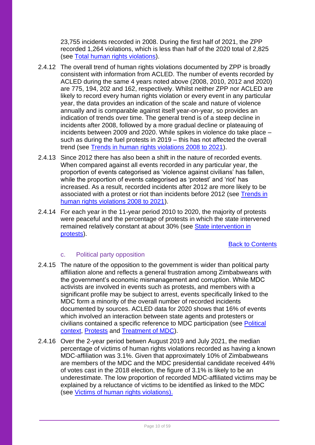23,755 incidents recorded in 2008. During the first half of 2021, the ZPP recorded 1,264 violations, which is less than half of the 2020 total of 2,825 (see [Total human rights violations\)](#page-24-1).

- 2.4.12 The overall trend of human rights violations documented by ZPP is broadly consistent with information from ACLED. The number of events recorded by ACLED during the same 4 years noted above (2008, 2010, 2012 and 2020) are 775, 194, 202 and 162, respectively. Whilst neither ZPP nor ACLED are likely to record every human rights violation or every event in any particular year, the data provides an indication of the scale and nature of violence annually and is comparable against itself year-on-year, so provides an indication of trends over time. The general trend is of a steep decline in incidents after 2008, followed by a more gradual decline or plateauing of incidents between 2009 and 2020. While spikes in violence do take place – such as during the fuel protests in 2019 – this has not affected the overall trend (see [Trends in human rights violations 2008 to 2021\)](#page-24-0).
- 2.4.13 Since 2012 there has also been a shift in the nature of recorded events. When compared against all events recorded in any particular year, the proportion of events categorised as 'violence against civilians' has fallen, while the proportion of events categorised as 'protest' and 'riot' has increased. As a result, recorded incidents after 2012 are more likely to be associated with a protest or riot than incidents before 2012 (see [Trends in](#page-24-0)  [human rights violations 2008 to 2021\)](#page-24-0).
- 2.4.14 For each year in the 11-year period 2010 to 2020, the majority of protests were peaceful and the percentage of protests in which the state intervened remained relatively constant at about 30% (see [State intervention in](#page-27-0)  [protests\)](#page-27-0).

### **[Back to Contents](#page-2-0)**

### c. Political party opposition

- 2.4.15 The nature of the opposition to the government is wider than political party affiliation alone and reflects a general frustration among Zimbabweans with the government's economic mismanagement and corruption. While MDC activists are involved in events such as protests, and members with a significant profile may be subject to arrest, events specifically linked to the MDC form a minority of the overall number of recorded incidents documented by sources. ACLED data for 2020 shows that 16% of events which involved an interaction between state agents and protesters or civilians contained a specific reference to MDC participation (see [Political](#page-14-1)  [context,](#page-14-1) [Protests](#page-32-0) and [Treatment of MDC\)](#page-39-0).
- 2.4.16 Over the 2-year period betwen August 2019 and July 2021, the median percentage of victims of human rights violations recorded as having a known MDC-affiliation was 3.1%. Given that approximately 10% of Zimbabweans are members of the MDC and the MDC presidential candidate received 44% of votes cast in the 2018 election, the figure of 3.1% is likely to be an underestimate. The low proportion of recorded MDC-affiliated victims may be explained by a reluctance of victims to be identified as linked to the MDC (see [Victims of human rights violations\)](#page-20-0).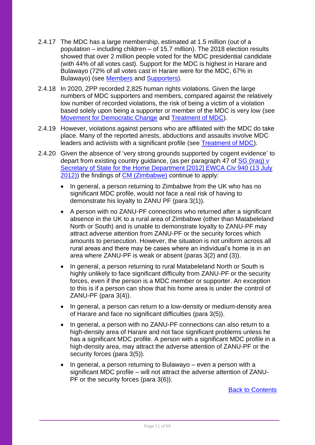- 2.4.17 The MDC has a large membership, estimated at 1.5 million (out of a population – including children – of 15.7 million). The 2018 election results showed that over 2 million people voted for the MDC presidential candidate (with 44% of all votes cast). Support for the MDC is highest in Harare and Bulawayo (72% of all votes cast in Harare were for the MDC, 67% in Bulawayo) (see [Members](#page-31-0) and [Supporters\)](#page-31-1).
- 2.4.18 In 2020, ZPP recorded 2,825 human rights violations. Given the large numbers of MDC supporters and members, compared against the relatively low number of recorded violations, the risk of being a victim of a violation based solely upon being a supporter or member of the MDC is very low (see [Movement for Democratic Change](#page-29-2) and [Treatment of MDC\)](#page-39-0).
- 2.4.19 However, violations against persons who are affiliated with the MDC do take place. Many of the reported arrests, abductions and assaults involve MDC leaders and activists with a significant profile (see [Treatment of MDC\)](#page-39-0).
- 2.4.20 Given the absence of 'very strong grounds supported by cogent evidence' to depart from existing country guidance, (as per paragraph 47 of [SG \(Iraq\) v](https://www.bailii.org/ew/cases/EWCA/Civ/2012/940.html)  [Secretary of State for the Home Department \[2012\] EWCA Civ 940 \(13 July](https://www.bailii.org/ew/cases/EWCA/Civ/2012/940.html)  [2012\)\)](https://www.bailii.org/ew/cases/EWCA/Civ/2012/940.html) the findings of [CM \(Zimbabwe\)](https://www.bailii.org/uk/cases/UKUT/IAC/2013/00059_ukut_iac_cm_zimbabwe_cg.html) continue to apply:
	- In general, a person returning to Zimbabwe from the UK who has no significant MDC profile, would not face a real risk of having to demonstrate his loyalty to ZANU PF (para 3(1)).
	- A person with no ZANU-PF connections who returned after a significant absence in the UK to a rural area of Zimbabwe (other than Matabeleland North or South) and is unable to demonstrate loyalty to ZANU-PF may attract adverse attention from ZANU-PF or the security forces which amounts to persecution. However, the situation is not uniform across all rural areas and there may be cases where an individual's home is in an area where ZANU-PF is weak or absent (paras 3(2) and (3)).
	- In general, a person returning to rural Matabeleland North or South is highly unlikely to face significant difficulty from ZANU-PF or the security forces, even if the person is a MDC member or supporter. An exception to this is if a person can show that his home area is under the control of ZANU-PF (para 3(4)).
	- In general, a person can return to a low-density or medium-density area of Harare and face no significant difficulties (para 3(5)).
	- In general, a person with no ZANU-PF connections can also return to a high-density area of Harare and not face significant problems unless he has a significant MDC profile. A person with a significant MDC profile in a high-density area, may attract the adverse attention of ZANU-PF or the security forces (para 3(5)).
	- In general, a person returning to Bulawayo even a person with a significant MDC profile – will not attract the adverse attention of ZANU-PF or the security forces (para 3(6)).

[Back to Contents](#page-2-0)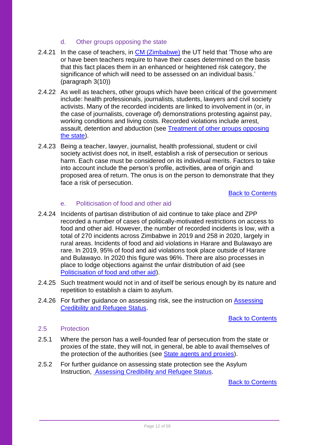### d. Other groups opposing the state

- 2.4.21 In the case of teachers, in [CM \(Zimbabwe\)](https://www.bailii.org/uk/cases/UKUT/IAC/2013/00059_ukut_iac_cm_zimbabwe_cg.html) the UT held that 'Those who are or have been teachers require to have their cases determined on the basis that this fact places them in an enhanced or heightened risk category, the significance of which will need to be assessed on an individual basis.' (paragraph 3(10))
- 2.4.22 As well as teachers, other groups which have been critical of the government include: health professionals, journalists, students, lawyers and civil society activists. Many of the recorded incidents are linked to involvement in (or, in the case of journalists, coverage of) demonstrations protesting against pay, working conditions and living costs. Recorded violations include arrest, assault, detention and abduction (see [Treatment of other groups opposing](#page-43-0)  [the state\)](#page-43-0).
- 2.4.23 Being a teacher, lawyer, journalist, health professional, student or civil society activist does not, in itself, establish a risk of persecution or serious harm. Each case must be considered on its individual merits. Factors to take into account include the person's profile, activities, area of origin and proposed area of return. The onus is on the person to demonstrate that they face a risk of persecution.

### [Back to Contents](#page-2-0)

### e. Politicisation of food and other aid

- 2.4.24 Incidents of partisan distribution of aid continue to take place and ZPP recorded a number of cases of politically-motivated restrictions on access to food and other aid. However, the number of recorded incidents is low, with a total of 270 incidents across Zimbabwe in 2019 and 258 in 2020, largely in rural areas. Incidents of food and aid violations in Harare and Bulawayo are rare. In 2019, 95% of food and aid violations took place outside of Harare and Bulawayo. In 2020 this figure was 96%. There are also processes in place to lodge objections against the unfair distribution of aid (see [Politicisation of food and other aid\)](#page-36-0).
- 2.4.25 Such treatment would not in and of itself be serious enough by its nature and repetition to establish a claim to asylum.
- 2.4.26 For further guidance on assessing risk, see the instruction on [Assessing](https://www.gov.uk/government/publications/considering-asylum-claims-and-assessing-credibility-instruction)  [Credibility and Refugee Status.](https://www.gov.uk/government/publications/considering-asylum-claims-and-assessing-credibility-instruction)

### [Back to Contents](#page-2-0)

### <span id="page-11-0"></span>2.5 Protection

- 2.5.1 Where the person has a well-founded fear of persecution from the state or proxies of the state, they will not, in general, be able to avail themselves of the protection of the authorities (see [State agents and proxies\)](#page-16-1).
- 2.5.2 For further guidance on assessing state protection see the Asylum Instruction, [Assessing Credibility and Refugee Status.](https://www.gov.uk/government/publications/considering-asylum-claims-and-assessing-credibility-instruction)

[Back to Contents](#page-2-0)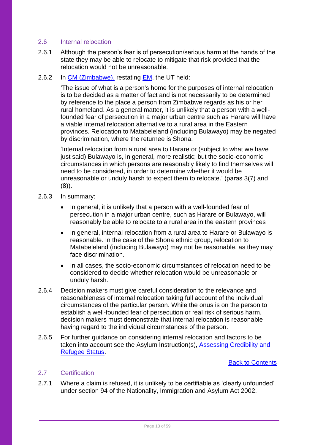### <span id="page-12-0"></span>2.6 Internal relocation

- 2.6.1 Although the person's fear is of persecution/serious harm at the hands of the state they may be able to relocate to mitigate that risk provided that the relocation would not be unreasonable.
- 2.6.2 In [CM \(Zimbabwe\),](https://www.bailii.org/uk/cases/UKUT/IAC/2013/00059_ukut_iac_cm_zimbabwe_cg.html) restating [EM,](https://www.bailii.org/uk/cases/UKUT/IAC/2011/00098_ukut_iac_2011_em_ors_zimbabwe_cg.html) the UT held:

'The issue of what is a person's home for the purposes of internal relocation is to be decided as a matter of fact and is not necessarily to be determined by reference to the place a person from Zimbabwe regards as his or her rural homeland. As a general matter, it is unlikely that a person with a wellfounded fear of persecution in a major urban centre such as Harare will have a viable internal relocation alternative to a rural area in the Eastern provinces. Relocation to Matabeleland (including Bulawayo) may be negated by discrimination, where the returnee is Shona.

'Internal relocation from a rural area to Harare or (subject to what we have just said) Bulawayo is, in general, more realistic; but the socio-economic circumstances in which persons are reasonably likely to find themselves will need to be considered, in order to determine whether it would be unreasonable or unduly harsh to expect them to relocate.' (paras 3(7) and  $(8)$ ).

- 2.6.3 In summary:
	- In general, it is unlikely that a person with a well-founded fear of persecution in a major urban centre, such as Harare or Bulawayo, will reasonably be able to relocate to a rural area in the eastern provinces
	- In general, internal relocation from a rural area to Harare or Bulawayo is reasonable. In the case of the Shona ethnic group, relocation to Matabeleland (including Bulawayo) may not be reasonable, as they may face discrimination.
	- In all cases, the socio-economic circumstances of relocation need to be considered to decide whether relocation would be unreasonable or unduly harsh.
- 2.6.4 Decision makers must give careful consideration to the relevance and reasonableness of internal relocation taking full account of the individual circumstances of the particular person. While the onus is on the person to establish a well-founded fear of persecution or real risk of serious harm, decision makers must demonstrate that internal relocation is reasonable having regard to the individual circumstances of the person.
- 2.6.5 For further guidance on considering internal relocation and factors to be taken into account see the Asylum Instruction(s), [Assessing Credibility and](https://www.gov.uk/government/publications/considering-asylum-claims-and-assessing-credibility-instruction)  [Refugee Status.](https://www.gov.uk/government/publications/considering-asylum-claims-and-assessing-credibility-instruction)

### [Back to Contents](#page-2-0)

### <span id="page-12-1"></span>2.7 Certification

2.7.1 Where a claim is refused, it is unlikely to be certifiable as 'clearly unfounded' under section 94 of the Nationality, Immigration and Asylum Act 2002.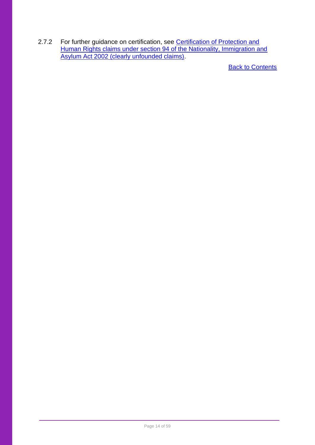<span id="page-13-0"></span>2.7.2 For further guidance on certification, see Certification of Protection and [Human Rights claims under section 94 of the Nationality, Immigration and](https://www.gov.uk/government/publications/non-suspensive-appeals-certification-under-section-94-of-the-nia-act-2002-process)  [Asylum Act 2002 \(clearly unfounded claims\).](https://www.gov.uk/government/publications/non-suspensive-appeals-certification-under-section-94-of-the-nia-act-2002-process)

**[Back to Contents](#page-2-0)**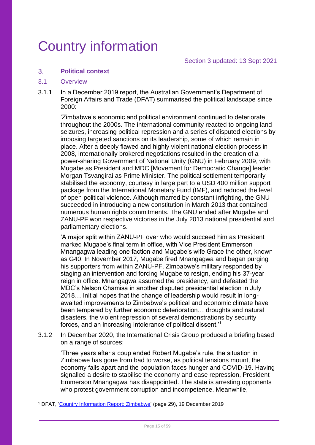## <span id="page-14-0"></span>Country information

Section 3 updated: 13 Sept 2021

#### <span id="page-14-1"></span> $3<sub>1</sub>$ **Political context**

### <span id="page-14-2"></span>3.1 Overview

3.1.1 In a December 2019 report, the Australian Government's Department of Foreign Affairs and Trade (DFAT) summarised the political landscape since 2000:

'Zimbabwe's economic and political environment continued to deteriorate throughout the 2000s. The international community reacted to ongoing land seizures, increasing political repression and a series of disputed elections by imposing targeted sanctions on its leadership, some of which remain in place. After a deeply flawed and highly violent national election process in 2008, internationally brokered negotiations resulted in the creation of a power-sharing Government of National Unity (GNU) in February 2009, with Mugabe as President and MDC [Movement for Democratic Change] leader Morgan Tsvangirai as Prime Minister. The political settlement temporarily stabilised the economy, courtesy in large part to a USD 400 million support package from the International Monetary Fund (IMF), and reduced the level of open political violence. Although marred by constant infighting, the GNU succeeded in introducing a new constitution in March 2013 that contained numerous human rights commitments. The GNU ended after Mugabe and ZANU-PF won respective victories in the July 2013 national presidential and parliamentary elections.

'A major split within ZANU-PF over who would succeed him as President marked Mugabe's final term in office, with Vice President Emmerson Mnangagwa leading one faction and Mugabe's wife Grace the other, known as G40. In November 2017, Mugabe fired Mnangagwa and began purging his supporters from within ZANU-PF. Zimbabwe's military responded by staging an intervention and forcing Mugabe to resign, ending his 37-year reign in office. Mnangagwa assumed the presidency, and defeated the MDC's Nelson Chamisa in another disputed presidential election in July 2018… Initial hopes that the change of leadership would result in longawaited improvements to Zimbabwe's political and economic climate have been tempered by further economic deterioration… droughts and natural disasters, the violent repression of several demonstrations by security forces, and an increasing intolerance of political dissent.'<sup>1</sup>

3.1.2 In December 2020, the International Crisis Group produced a briefing based on a range of sources:

'Three years after a coup ended Robert Mugabe's rule, the situation in Zimbabwe has gone from bad to worse, as political tensions mount, the economy falls apart and the population faces hunger and COVID-19. Having signalled a desire to stabilise the economy and ease repression, President Emmerson Mnangagwa has disappointed. The state is arresting opponents who protest government corruption and incompetence. Meanwhile,

<sup>1</sup> DFAT, ['Country Information Report: Zimbabwe'](https://www.dfat.gov.au/sites/default/files/country-information-report-zimbabwe.pdf) (page 29), 19 December 2019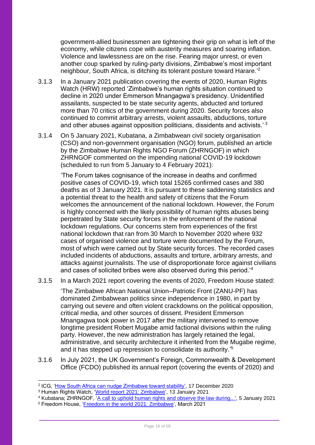government-allied businessmen are tightening their grip on what is left of the economy, while citizens cope with austerity measures and soaring inflation. Violence and lawlessness are on the rise. Fearing major unrest, or even another coup sparked by ruling-party divisions, Zimbabwe's most important neighbour, South Africa, is ditching its tolerant posture toward Harare.<sup>2</sup>

- 3.1.3 In a January 2021 publication covering the events of 2020, Human Rights Watch (HRW) reported 'Zimbabwe's human rights situation continued to decline in 2020 under Emmerson Mnangagwa's presidency. Unidentified assailants, suspected to be state security agents, abducted and tortured more than 70 critics of the government during 2020. Security forces also continued to commit arbitrary arrests, violent assaults, abductions, torture and other abuses against opposition politicians, dissidents and activists.' <sup>3</sup>
- 3.1.4 On 5 January 2021, Kubatana, a Zimbabwean civil society organisation (CSO) and non-government organisation (NGO) forum, published an article by the Zimbabwe Human Rights NGO Forum (ZHRNGOF) in which ZHRNGOF commented on the impending national COVID-19 lockdown (scheduled to run from 5 January to 4 February 2021):

'The Forum takes cognisance of the increase in deaths and confirmed positive cases of COVID-19, which total 15265 confirmed cases and 380 deaths as of 3 January 2021. It is pursuant to these saddening statistics and a potential threat to the health and safety of citizens that the Forum welcomes the announcement of the national lockdown. However, the Forum is highly concerned with the likely possibility of human rights abuses being perpetrated by State security forces in the enforcement of the national lockdown regulations. Our concerns stem from experiences of the first national lockdown that ran from 30 March to November 2020 where 932 cases of organised violence and torture were documented by the Forum, most of which were carried out by State security forces. The recorded cases included incidents of abductions, assaults and torture, arbitrary arrests, and attacks against journalists. The use of disproportionate force against civilians and cases of solicited bribes were also observed during this period.'<sup>4</sup>

3.1.5 In a March 2021 report covering the events of 2020, Freedom House stated:

'The Zimbabwe African National Union–Patriotic Front (ZANU-PF) has dominated Zimbabwean politics since independence in 1980, in part by carrying out severe and often violent crackdowns on the political opposition, critical media, and other sources of dissent. President Emmerson Mnangagwa took power in 2017 after the military intervened to remove longtime president Robert Mugabe amid factional divisions within the ruling party. However, the new administration has largely retained the legal, administrative, and security architecture it inherited from the Mugabe regime, and it has stepped up repression to consolidate its authority.' 5

3.1.6 In July 2021, the UK Government's Foreign, Commonwealth & Development Office (FCDO) published its annual report (covering the events of 2020) and

<sup>&</sup>lt;sup>2</sup> ICG, '<u>How South Africa can nudge Zimbabwe toward stability',</u> 17 December 2020

<sup>&</sup>lt;sup>3</sup> Human Rights Watch, ['World report 2021: Zimbabwe',](https://www.hrw.org/world-report/2021/country-chapters/zimbabwe) 13 January 2021

<sup>&</sup>lt;sup>4</sup> Kubatana; ZHRNGOF, '<u>A call to uphold human rights and observe the law during...',</u> 5 January 2021

<sup>5</sup> Freedom House, ['Freedom in the world 2021: Zimbabwe',](https://freedomhouse.org/country/zimbabwe/freedom-world/2021) March 2021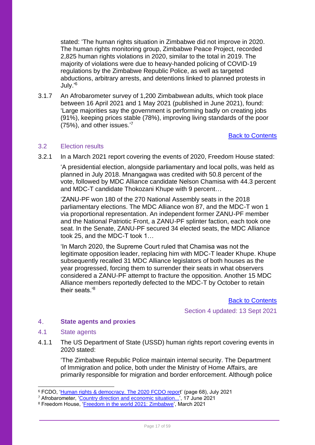stated: 'The human rights situation in Zimbabwe did not improve in 2020. The human rights monitoring group, Zimbabwe Peace Project, recorded 2,825 human rights violations in 2020, similar to the total in 2019. The majority of violations were due to heavy-handed policing of COVID-19 regulations by the Zimbabwe Republic Police, as well as targeted abductions, arbitrary arrests, and detentions linked to planned protests in July.' 6

3.1.7 An Afrobarometer survey of 1,200 Zimbabwean adults, which took place between 16 April 2021 and 1 May 2021 (published in June 2021), found: 'Large majorities say the government is performing badly on creating jobs (91%), keeping prices stable (78%), improving living standards of the poor (75%), and other issues.' 7

### [Back to Contents](#page-2-0)

### <span id="page-16-0"></span>3.2 Election results

3.2.1 In a March 2021 report covering the events of 2020, Freedom House stated:

'A presidential election, alongside parliamentary and local polls, was held as planned in July 2018. Mnangagwa was credited with 50.8 percent of the vote, followed by MDC Alliance candidate Nelson Chamisa with 44.3 percent and MDC-T candidate Thokozani Khupe with 9 percent…

'ZANU-PF won 180 of the 270 National Assembly seats in the 2018 parliamentary elections. The MDC Alliance won 87, and the MDC-T won 1 via proportional representation. An independent former ZANU-PF member and the National Patriotic Front, a ZANU-PF splinter faction, each took one seat. In the Senate, ZANU-PF secured 34 elected seats, the MDC Alliance took 25, and the MDC-T took 1…

'In March 2020, the Supreme Court ruled that Chamisa was not the legitimate opposition leader, replacing him with MDC-T leader Khupe. Khupe subsequently recalled 31 MDC Alliance legislators of both houses as the year progressed, forcing them to surrender their seats in what observers considered a ZANU-PF attempt to fracture the opposition. Another 15 MDC Alliance members reportedly defected to the MDC-T by October to retain their seats<sup>'8</sup>

[Back to Contents](#page-2-0)

Section 4 updated: 13 Sept 2021

#### <span id="page-16-1"></span> $\overline{4}$ **State agents and proxies**

### <span id="page-16-2"></span>4.1 State agents

4.1.1 The US Department of State (USSD) human rights report covering events in 2020 stated:

'The Zimbabwe Republic Police maintain internal security. The Department of Immigration and police, both under the Ministry of Home Affairs, are primarily responsible for migration and border enforcement. Although police

<sup>6</sup> FCDO, ['Human rights & democracy. The 2020 FCDO report](https://assets.publishing.service.gov.uk/government/uploads/system/uploads/attachment_data/file/999607/Human_Rights_and_Democracy_the_2020_Foreign__Commonwealth___Development_Office_report.pdf)' (page 68), July 2021

<sup>7</sup> Afrobarometer, ['Country direction and economic situation...'](https://afrobarometer.org/media-briefings/findings-afrobarometer-round-8-survey-zimbabwe), 17 June 2021

<sup>8</sup> Freedom House, ['Freedom in the world 2021: Zimbabwe',](https://freedomhouse.org/country/zimbabwe/freedom-world/2021) March 2021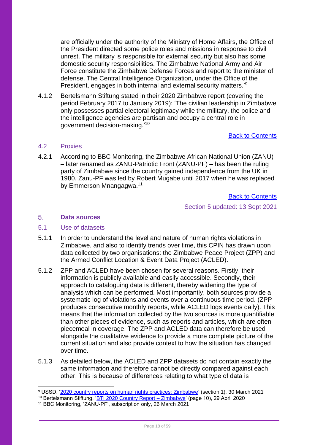are officially under the authority of the Ministry of Home Affairs, the Office of the President directed some police roles and missions in response to civil unrest. The military is responsible for external security but also has some domestic security responsibilities. The Zimbabwe National Army and Air Force constitute the Zimbabwe Defense Forces and report to the minister of defense. The Central Intelligence Organization, under the Office of the President, engages in both internal and external security matters.<sup>39</sup>

4.1.2 Bertelsmann Stiftung stated in their 2020 Zimbabwe report (covering the period February 2017 to January 2019): 'The civilian leadership in Zimbabwe only possesses partial electoral legitimacy while the military, the police and the intelligence agencies are partisan and occupy a central role in government decision-making.'<sup>10</sup>

### [Back to Contents](#page-2-0)

### <span id="page-17-0"></span>4.2 Proxies

4.2.1 According to BBC Monitoring, the Zimbabwe African National Union (ZANU) – later renamed as ZANU-Patriotic Front (ZANU-PF) – has been the ruling party of Zimbabwe since the country gained independence from the UK in 1980. Zanu-PF was led by Robert Mugabe until 2017 when he was replaced by Emmerson Mnangagwa.<sup>11</sup>

[Back to Contents](#page-2-0)

Section 5 updated: 13 Sept 2021

#### <span id="page-17-1"></span>5. **Data sources**

### <span id="page-17-2"></span>5.1 Use of datasets

- 5.1.1 In order to understand the level and nature of human rights violations in Zimbabwe, and also to identify trends over time, this CPIN has drawn upon data collected by two organisations: the Zimbabwe Peace Project (ZPP) and the Armed Conflict Location & Event Data Project (ACLED).
- 5.1.2 ZPP and ACLED have been chosen for several reasons. Firstly, their information is publicly available and easily accessible. Secondly, their approach to cataloguing data is different, thereby widening the type of analysis which can be performed. Most importantly, both sources provide a systematic log of violations and events over a continuous time period. (ZPP produces consecutive monthly reports, while ACLED logs events daily). This means that the information collected by the two sources is more quantifiable than other pieces of evidence, such as reports and articles, which are often piecemeal in coverage. The ZPP and ACLED data can therefore be used alongside the qualitative evidence to provide a more complete picture of the current situation and also provide context to how the situation has changed over time.
- 5.1.3 As detailed below, the ACLED and ZPP datasets do not contain exactly the same information and therefore cannot be directly compared against each other. This is because of differences relating to what type of data is
- <sup>9</sup> USSD, ['2020 country reports on human rights practices: Zimbabwe'](https://www.state.gov/reports/2020-country-reports-on-human-rights-practices/zimbabwe/) (section 1), 30 March 2021

<sup>&</sup>lt;sup>10</sup> Bertelsmann Stiftung, ['BTI 2020 Country Report –](https://www.bti-project.org/content/en/downloads/reports/country_report_2020_ZWE.pdf) Zimbabwe' (page 10), 29 April 2020

<sup>11</sup> BBC Monitoring, 'ZANU-PF', subscription only, 26 March 2021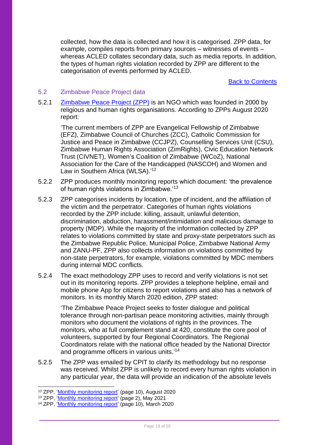collected, how the data is collected and how it is categorised. ZPP data, for example, compiles reports from primary sources – witnesses of events – whereas ACLED collates secondary data, such as media reports. In addition, the types of human rights violation recorded by ZPP are different to the categorisation of events performed by ACLED.

[Back to Contents](#page-2-0)

### <span id="page-18-0"></span>5.2 Zimbabwe Peace Project data

5.2.1 [Zimbabwe Peace Project \(ZPP\)](https://zimpeaceproject.com/) is an NGO which was founded in 2000 by religious and human rights organisations. According to ZPPs August 2020 report:

'The current members of ZPP are Evangelical Fellowship of Zimbabwe (EFZ), Zimbabwe Council of Churches (ZCC), Catholic Commission for Justice and Peace in Zimbabwe (CCJPZ), Counselling Services Unit (CSU), Zimbabwe Human Rights Association (ZimRights), Civic Education Network Trust (CIVNET), Women's Coalition of Zimbabwe (WCoZ), National Association for the Care of the Handicapped (NASCOH) and Women and Law in Southern Africa (WLSA).'<sup>12</sup>

- 5.2.2 ZPP produces monthly monitoring reports which document: 'the prevalence of human rights violations in Zimbabwe.'<sup>13</sup>
- 5.2.3 ZPP categorises incidents by location, type of incident, and the affiliation of the victim and the perpetrator. Categories of human rights violations recorded by the ZPP include: killing, assault, unlawful detention, discrimination, abduction, harassment/intimidation and malicious damage to property (MDP). While the majority of the information collected by ZPP relates to violations committed by state and proxy-state perpetrators such as the Zimbabwe Republic Police, Municipal Police, Zimbabwe National Army and ZANU-PF, ZPP also collects information on violations committed by non-state perpetrators, for example, violations committed by MDC members during internal MDC conflicts.
- 5.2.4 The exact methodology ZPP uses to record and verify violations is not set out in its monitoring reports. ZPP provides a telephone helpline, email and mobile phone App for citizens to report violations and also has a network of monitors. In its monthly March 2020 edition, ZPP stated:

'The Zimbabwe Peace Project seeks to foster dialogue and political tolerance through non-partisan peace monitoring activities, mainly through monitors who document the violations of rights in the provinces. The monitors, who at full complement stand at 420, constitute the core pool of volunteers, supported by four Regional Coordinators. The Regional Coordinators relate with the national office headed by the National Director and programme officers in various units.'<sup>14</sup>

5.2.5 The ZPP was emailed by CPIT to clarify its methodology but no response was received. Whilst ZPP is unlikely to record every human rights violation in any particular year, the data will provide an indication of the absolute levels

<sup>&</sup>lt;sup>12</sup> ZPP, ['Monthly monitoring report'](https://data.zimpeaceproject.com/en/entity/d8wh2rqnqvr) (page 10), August 2020

<sup>13</sup> ZPP, ['Monthly monitoring report'](https://data.zimpeaceproject.com/en/entity/wn3ojgtt1bp?page=2) (page 2), May 2021

<sup>&</sup>lt;sup>14</sup> ZPP, ['Monthly monitoring report'](https://data.zimpeaceproject.com/en/entity/b3itqp5xra) (page 10), March 2020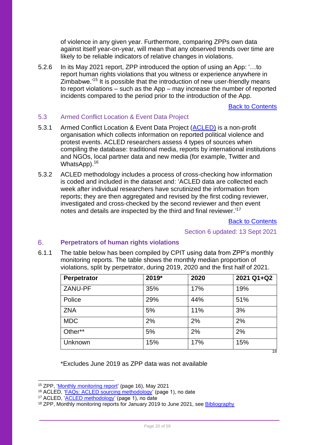of violence in any given year. Furthermore, comparing ZPPs own data against itself year-on-year, will mean that any observed trends over time are likely to be reliable indicators of relative changes in violations.

5.2.6 In its May 2021 report, ZPP introduced the option of using an App: '…to report human rights violations that you witness or experience anywhere in Zimbabwe.'<sup>15</sup> It is possible that the introduction of new user-friendly means to report violations – such as the App – may increase the number of reported incidents compared to the period prior to the introduction of the App.

[Back to Contents](#page-2-0)

### <span id="page-19-0"></span>5.3 Armed Conflict Location & Event Data Project

- 5.3.1 Armed Conflict Location & Event Data Project [\(ACLED\)](https://acleddata.com/#/dashboard) is a non-profit organisation which collects information on reported political violence and protest events. ACLED researchers assess 4 types of sources when compiling the database: traditional media, reports by international institutions and NGOs, local partner data and new media (for example, Twitter and WhatsApp).<sup>16</sup>
- 5.3.2 ACLED methodology includes a process of cross-checking how information is coded and included in the dataset and: 'ACLED data are collected each week after individual researchers have scrutinized the information from reports; they are then aggregated and revised by the first coding reviewer, investigated and cross-checked by the second reviewer and then event notes and details are inspected by the third and final reviewer.'<sup>17</sup>

[Back to Contents](#page-2-0)

Section 6 updated: 13 Sept 2021

#### <span id="page-19-1"></span>6 **Perpetrators of human rights violations**

6.1.1 The table below has been compiled by CPIT using data from ZPP's monthly monitoring reports. The table shows the monthly median proportion of violations, split by perpetrator, during 2019, 2020 and the first half of 2021.

| Perpetrator | 2019* | 2020 | 2021 Q1+Q2 |
|-------------|-------|------|------------|
| ZANU-PF     | 35%   | 17%  | 19%        |
| Police      | 29%   | 44%  | 51%        |
| <b>ZNA</b>  | 5%    | 11%  | 3%         |
| <b>MDC</b>  | 2%    | 2%   | 2%         |
| Other**     | 5%    | 2%   | 2%         |
| Unknown     | 15%   | 17%  | 15%        |
|             |       |      | 18         |

\*Excludes June 2019 as ZPP data was not available

<sup>&</sup>lt;sup>15</sup> ZPP, ['Monthly monitoring report'](https://data.zimpeaceproject.com/en/entity/wn3ojgtt1bp?page=2) (page 16), May 2021

<sup>&</sup>lt;sup>16</sup> ACLED, ['FAQs: ACLED sourcing methodology'](https://acleddata.com/acleddatanew/wp-content/uploads/dlm_uploads/2020/02/FAQs_ACLED-Sourcing-Methodology.pdf) (page 1), no date

<sup>17</sup> ACLED, ['ACLED methodology'](https://acleddata.com/acleddatanew/wp-content/uploads/dlm_uploads/2019/04/Methodology-Overview_FINAL.pdf) (page 1), no date

<sup>&</sup>lt;sup>18</sup> ZPP, Monthly monitoring reports for January 2019 to June 2021, see [Bibliography](#page-52-0)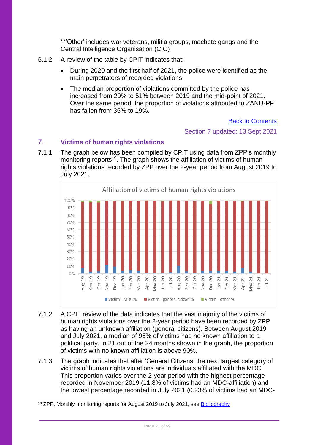\*\*'Other' includes war veterans, militia groups, machete gangs and the Central Intelligence Organisation (CIO)

- 6.1.2 A review of the table by CPIT indicates that:
	- During 2020 and the first half of 2021, the police were identified as the main perpetrators of recorded violations.
	- The median proportion of violations committed by the police has increased from 29% to 51% between 2019 and the mid-point of 2021. Over the same period, the proportion of violations attributed to ZANU-PF has fallen from 35% to 19%.

[Back to Contents](#page-2-0)

Section 7 updated: 13 Sept 2021

#### <span id="page-20-0"></span> $7<sup>1</sup>$ **Victims of human rights violations**

7.1.1 The graph below has been compiled by CPIT using data from ZPP's monthly monitoring reports<sup>19</sup>. The graph shows the affiliation of victims of human rights violations recorded by ZPP over the 2-year period from August 2019 to July 2021.



- 7.1.2 A CPIT review of the data indicates that the vast majority of the victims of human rights violations over the 2-year period have been recorded by ZPP as having an unknown affiliation (general citizens). Between August 2019 and July 2021, a median of 96% of victims had no known affiliation to a political party. In 21 out of the 24 months shown in the graph, the proportion of victims with no known affiliation is above 90%.
- 7.1.3 The graph indicates that after 'General Citizens' the next largest category of victims of human rights violations are individuals affiliated with the MDC. This proportion varies over the 2-year period with the highest percentage recorded in November 2019 (11.8% of victims had an MDC-affiliation) and the lowest percentage recorded in July 2021 (0.23% of victims had an MDC-

<sup>&</sup>lt;sup>19</sup> ZPP, Monthly monitoring reports for August 2019 to July 2021, see [Bibliography](#page-52-0)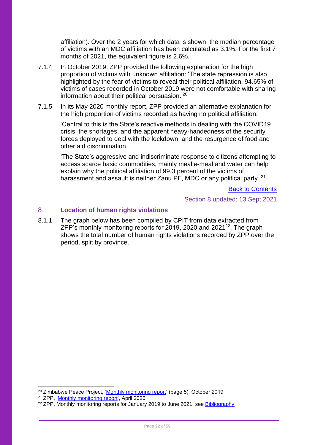affiliation). Over the 2 years for which data is shown, the median percentage of victims with an MDC affiliation has been calculated as 3.1%. For the first 7 months of 2021, the equivalent figure is 2.6%.

- 7.1.4 In October 2019, ZPP provided the following explanation for the high proportion of victims with unknown affiliation: 'The state repression is also highlighted by the fear of victims to reveal their political affiliation. 94.65% of victims of cases recorded in October 2019 were not comfortable with sharing information about their political persuasion.'<sup>20</sup>
- 7.1.5 In its May 2020 monthly report, ZPP provided an alternative explanation for the high proportion of victims recorded as having no political affiliation:

'Central to this is the State's reactive methods in dealing with the COVID19 crisis, the shortages, and the apparent heavy-handedness of the security forces deployed to deal with the lockdown, and the resurgence of food and other aid discrimination.

'The State's aggressive and indiscriminate response to citizens attempting to access scarce basic commodities, mainly mealie-meal and water can help explain why the political affiliation of 99.3 percent of the victims of harassment and assault is neither Zanu PF, MDC or any political party.<sup>'21</sup>

[Back to Contents](#page-2-0)

Section 8 updated: 13 Sept 2021

#### <span id="page-21-0"></span> $8<sub>1</sub>$ **Location of human rights violations**

8.1.1 The graph below has been compiled by CPIT from data extracted from ZPP's monthly monitoring reports for 2019, 2020 and 2021 $^{22}$ . The graph shows the total number of human rights violations recorded by ZPP over the period, split by province.

<sup>&</sup>lt;sup>20</sup> Zimbabwe Peace Project, ['Monthly monitoring report'](https://reliefweb.int/sites/reliefweb.int/files/resources/October%202019%20MMR%20.pdf) (page 5), October 2019

<sup>21</sup> ZPP, ['Monthly monitoring report',](https://data.zimpeaceproject.com/en/entity/t8gzuaee4p?page=1) April 2020

<sup>&</sup>lt;sup>22</sup> ZPP, Monthly monitoring reports for January 2019 to June 2021, see [Bibliography](#page-52-0)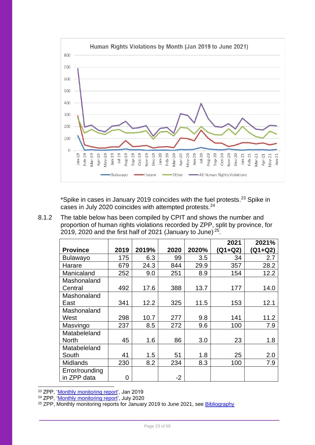

\*Spike in cases in January 2019 coincides with the fuel protests.<sup>23</sup> Spike in cases in July 2020 coincides with attempted protests.<sup>24</sup>

8.1.2 The table below has been compiled by CPIT and shows the number and proportion of human rights violations recorded by ZPP, split by province, for 2019, 2020 and the first half of 2021 (January to June)<sup>25</sup>.

| <b>Province</b> | 2019 | 2019% | 2020 | 2020% | 2021<br>$(Q1 + Q2)$ | 2021%<br>$(Q1 + Q2)$ |
|-----------------|------|-------|------|-------|---------------------|----------------------|
| <b>Bulawayo</b> | 175  | 6.3   | 99   | 3.5   | 34                  | 2.7                  |
| Harare          | 679  | 24.3  | 844  | 29.9  | 357                 | 28.2                 |
| Manicaland      | 252  | 9.0   | 251  | 8.9   | 154                 | 12.2                 |
| Mashonaland     |      |       |      |       |                     |                      |
| Central         | 492  | 17.6  | 388  | 13.7  | 177                 | 14.0                 |
| Mashonaland     |      |       |      |       |                     |                      |
| East            | 341  | 12.2  | 325  | 11.5  | 153                 | 12.1                 |
| Mashonaland     |      |       |      |       |                     |                      |
| West            | 298  | 10.7  | 277  | 9.8   | 141                 | 11.2                 |
| Masvingo        | 237  | 8.5   | 272  | 9.6   | 100                 | 7.9                  |
| Matabeleland    |      |       |      |       |                     |                      |
| <b>North</b>    | 45   | 1.6   | 86   | 3.0   | 23                  | 1.8                  |
| Matabeleland    |      |       |      |       |                     |                      |
| South           | 41   | 1.5   | 51   | 1.8   | 25                  | 2.0                  |
| Midlands        | 230  | 8.2   | 234  | 8.3   | 100                 | 7.9                  |
| Error/rounding  |      |       |      |       |                     |                      |
| in ZPP data     | 0    |       | $-2$ |       |                     |                      |

<sup>23</sup> ZPP, ['Monthly monitoring report',](https://reliefweb.int/report/zimbabwe/zpp-monthly-monitoring-report-human-rights-violations-january-2019) Jan 2019

<sup>24</sup> ZPP, '*Monthly monitoring report'*, July 2020

<sup>25</sup> ZPP, Monthly monitoring reports for January 2019 to June 2021, see [Bibliography](#page-52-0)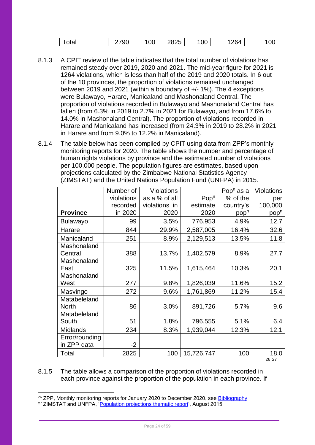|  | otal | $\sim$ $\sim$<br>u<br>◡◡ | $\sim$ $\sim$<br>. )C<br>◡◡ | $\sim$ $-$<br>,<br>∠∪∠ | 00 | 26∆<br>∼ | UU. |
|--|------|--------------------------|-----------------------------|------------------------|----|----------|-----|
|--|------|--------------------------|-----------------------------|------------------------|----|----------|-----|

- 8.1.3 A CPIT review of the table indicates that the total number of violations has remained steady over 2019, 2020 and 2021. The mid-year figure for 2021 is 1264 violations, which is less than half of the 2019 and 2020 totals. In 6 out of the 10 provinces, the proportion of violations remained unchanged between 2019 and 2021 (within a boundary of +/- 1%). The 4 exceptions were Bulawayo, Harare, Manicaland and Mashonaland Central. The proportion of violations recorded in Bulawayo and Mashonaland Central has fallen (from 6.3% in 2019 to 2.7% in 2021 for Bulawayo, and from 17.6% to 14.0% in Mashonaland Central). The proportion of violations recorded in Harare and Manicaland has increased (from 24.3% in 2019 to 28.2% in 2021 in Harare and from 9.0% to 12.2% in Manicaland).
- 8.1.4 The table below has been compiled by CPIT using data from ZPP's monthly monitoring reports for 2020. The table shows the number and percentage of human rights violations by province and the estimated number of violations per 100,000 people. The population figures are estimates, based upon projections calculated by the Zimbabwe National Statistics Agency (ZIMSTAT) and the United Nations Population Fund (UNFPA) in 2015.

|                 | Number of  | <b>Violations</b> |                  | Pop <sup>n</sup> as a | Violations       |
|-----------------|------------|-------------------|------------------|-----------------------|------------------|
|                 | violations | as a % of all     | Pop <sup>n</sup> | % of the              | per              |
|                 | recorded   | violations in     | estimate         | country's             | 100,000          |
| <b>Province</b> | in 2020    | 2020              | 2020             | pop <sup>n</sup>      | pop <sup>n</sup> |
| <b>Bulawayo</b> | 99         | 3.5%              | 776,953          | 4.9%                  | 12.7             |
| Harare          | 844        | 29.9%             | 2,587,005        | 16.4%                 | 32.6             |
| Manicaland      | 251        | 8.9%              | 2,129,513        | 13.5%                 | 11.8             |
| Mashonaland     |            |                   |                  |                       |                  |
| Central         | 388        | 13.7%             | 1,402,579        | 8.9%                  | 27.7             |
| Mashonaland     |            |                   |                  |                       |                  |
| East            | 325        | 11.5%             | 1,615,464        | 10.3%                 | 20.1             |
| Mashonaland     |            |                   |                  |                       |                  |
| West            | 277        | 9.8%              | 1,826,039        | 11.6%                 | 15.2             |
| Masvingo        | 272        | 9.6%              | 1,761,869        | 11.2%                 | 15.4             |
| Matabeleland    |            |                   |                  |                       |                  |
| <b>North</b>    | 86         | 3.0%              | 891,726          | 5.7%                  | 9.6              |
| Matabeleland    |            |                   |                  |                       |                  |
| South           | 51         | 1.8%              | 796,555          | 5.1%                  | 6.4              |
| Midlands        | 234        | 8.3%              | 1,939,044        | 12.3%                 | 12.1             |
| Error/rounding  |            |                   |                  |                       |                  |
| in ZPP data     | $-2$       |                   |                  |                       |                  |
| Total           | 2825       | 100               | 15,726,747       | 100                   | 18.0<br>26.27    |

8.1.5 The table allows a comparison of the proportion of violations recorded in each province against the proportion of the population in each province. If

<sup>&</sup>lt;sup>26</sup> ZPP, Monthly monitoring reports for January 2020 to December 2020, see [Bibliography](#page-52-0)

<sup>&</sup>lt;sup>27</sup> ZIMSTAT and UNFPA, ['Population projections thematic report',](https://zimbabwe.unfpa.org/sites/default/files/pub-pdf/population_projection_1.pdf) August 2015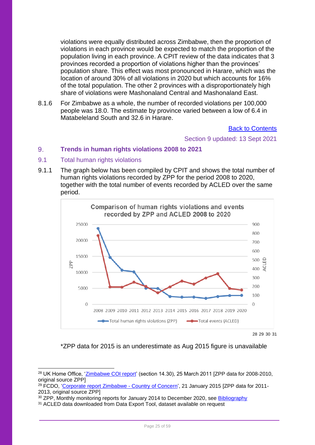violations were equally distributed across Zimbabwe, then the proportion of violations in each province would be expected to match the proportion of the population living in each province. A CPIT review of the data indicates that 3 provinces recorded a proportion of violations higher than the provinces' population share. This effect was most pronounced in Harare, which was the location of around 30% of all violations in 2020 but which accounts for 16% of the total population. The other 2 provinces with a disproportionately high share of violations were Mashonaland Central and Mashonaland East.

8.1.6 For Zimbabwe as a whole, the number of recorded violations per 100,000 people was 18.0. The estimate by province varied between a low of 6.4 in Matabeleland South and 32.6 in Harare.

[Back to Contents](#page-2-0)

Section 9 updated: 13 Sept 2021

#### <span id="page-24-0"></span> $9<sub>1</sub>$ **Trends in human rights violations 2008 to 2021**

### <span id="page-24-1"></span>9.1 Total human rights violations

9.1.1 The graph below has been compiled by CPIT and shows the total number of human rights violations recorded by ZPP for the period 2008 to 2020, together with the total number of events recorded by ACLED over the same period.



28 29 30 31

\*ZPP data for 2015 is an underestimate as Aug 2015 figure is unavailable

<sup>&</sup>lt;sup>28</sup> UK Home Office, ['Zimbabwe COI report'](https://www.ecoi.net/en/file/local/1164902/1226_1303900727_report-03-11.pdf) (section 14.30), 25 March 2011 [ZPP data for 2008-2010, original source ZPP]

<sup>&</sup>lt;sup>29</sup> FCDO, ['Corporate report Zimbabwe -](https://www.gov.uk/government/publications/zimbabwe-country-of-concern/zimbabwe-country-of-concern#access-to-justice-and-the-rule-of-law) Country of Concern', 21 January 2015 [ZPP data for 2011-2013, original source ZPP]

<sup>&</sup>lt;sup>30</sup> ZPP, Monthly monitoring reports for January 2014 to December 2020, see [Bibliography](#page-52-0)

<sup>&</sup>lt;sup>31</sup> ACLED data downloaded from Data Export Tool, dataset available on request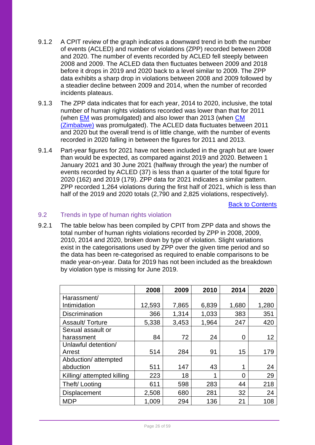- 9.1.2 A CPIT review of the graph indicates a downward trend in both the number of events (ACLED) and number of violations (ZPP) recorded between 2008 and 2020. The number of events recorded by ACLED fell steeply between 2008 and 2009. The ACLED data then fluctuates between 2009 and 2018 before it drops in 2019 and 2020 back to a level similar to 2009. The ZPP data exhibits a sharp drop in violations between 2008 and 2009 followed by a steadier decline between 2009 and 2014, when the number of recorded incidents plateaus.
- 9.1.3 The ZPP data indicates that for each year, 2014 to 2020, inclusive, the total number of human rights violations recorded was lower than that for 2011 (when [EM](https://www.bailii.org/uk/cases/UKUT/IAC/2011/00098_ukut_iac_2011_em_ors_zimbabwe_cg.html) was promulgated) and also lower than 2013 (when [CM](https://www.bailii.org/uk/cases/UKUT/IAC/2013/00059_ukut_iac_cm_zimbabwe_cg.html)  [\(Zimbabwe\)](https://www.bailii.org/uk/cases/UKUT/IAC/2013/00059_ukut_iac_cm_zimbabwe_cg.html) was promulgated). The ACLED data fluctuates between 2011 and 2020 but the overall trend is of little change, with the number of events recorded in 2020 falling in between the figures for 2011 and 2013.
- 9.1.4 Part-year figures for 2021 have not been included in the graph but are lower than would be expected, as compared against 2019 and 2020. Between 1 January 2021 and 30 June 2021 (halfway through the year) the number of events recorded by ACLED (37) is less than a quarter of the total figure for 2020 (162) and 2019 (179). ZPP data for 2021 indicates a similar pattern. ZPP recorded 1,264 violations during the first half of 2021, which is less than half of the 2019 and 2020 totals (2,790 and 2,825 violations, respectively).

[Back to Contents](#page-2-0)

### <span id="page-25-0"></span>9.2 Trends in type of human rights violation

9.2.1 The table below has been compiled by CPIT from ZPP data and shows the total number of human rights violations recorded by ZPP in 2008, 2009, 2010, 2014 and 2020, broken down by type of violation. Slight variations exist in the categorisations used by ZPP over the given time period and so the data has been re-categorised as required to enable comparisons to be made year-on-year. Data for 2019 has not been included as the breakdown by violation type is missing for June 2019.

|                            | 2008   | 2009  | 2010  | 2014  | 2020  |
|----------------------------|--------|-------|-------|-------|-------|
| Harassment/                |        |       |       |       |       |
| Intimidation               | 12,593 | 7,865 | 6,839 | 1,680 | 1,280 |
| <b>Discrimination</b>      | 366    | 1,314 | 1,033 | 383   | 351   |
| Assault/Torture            | 5,338  | 3,453 | 1,964 | 247   | 420   |
| Sexual assault or          |        |       |       |       |       |
| harassment                 | 84     | 72    | 24    | 0     | 12    |
| Unlawful detention/        |        |       |       |       |       |
| Arrest                     | 514    | 284   | 91    | 15    | 179   |
| Abduction/attempted        |        |       |       |       |       |
| abduction                  | 511    | 147   | 43    | 1     | 24    |
| Killing/ attempted killing | 223    | 18    |       | 0     | 29    |
| Theft/Looting              | 611    | 598   | 283   | 44    | 218   |
| <b>Displacement</b>        | 2,508  | 680   | 281   | 32    | 24    |
| <b>MDP</b>                 | 1,009  | 294   | 136   | 21    | 108   |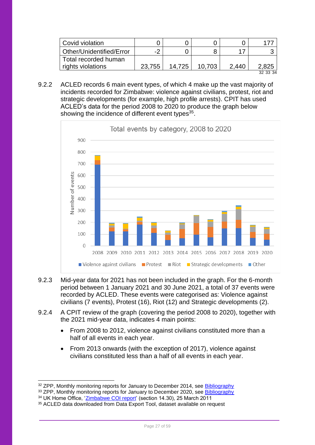| Covid violation          |        |        |        |       |          |
|--------------------------|--------|--------|--------|-------|----------|
| Other/Unidentified/Error | -2     |        |        |       |          |
| Total recorded human     |        |        |        |       |          |
| rights violations        | 23.755 | 14.725 | 10.703 | 2.440 | 2.825    |
|                          |        |        |        |       | 32 33 34 |

9.2.2 ACLED records 6 main event types, of which 4 make up the vast majority of incidents recorded for Zimbabwe: violence against civilians, protest, riot and strategic developments (for example, high profile arrests). CPIT has used ACLED's data for the period 2008 to 2020 to produce the graph below showing the incidence of different event types<sup>35</sup>.



- 9.2.3 Mid-year data for 2021 has not been included in the graph. For the 6-month period between 1 January 2021 and 30 June 2021, a total of 37 events were recorded by ACLED. These events were categorised as: Violence against civilians (7 events), Protest (16), Riot (12) and Strategic developments (2).
- 9.2.4 A CPIT review of the graph (covering the period 2008 to 2020), together with the 2021 mid-year data, indicates 4 main points:
	- From 2008 to 2012, violence against civilians constituted more than a half of all events in each year.
	- From 2013 onwards (with the exception of 2017), violence against civilians constituted less than a half of all events in each year.

<sup>33</sup> ZPP, Monthly monitoring reports for January to December 2020, see **Bibliography** 

<sup>&</sup>lt;sup>32</sup> ZPP, Monthly monitoring reports for January to December 2014, see [Bibliography](#page-52-0)

<sup>34</sup> UK Home Office, ['Zimbabwe COI report'](https://www.ecoi.net/en/file/local/1164902/1226_1303900727_report-03-11.pdf) (section 14.30), 25 March 2011

<sup>&</sup>lt;sup>35</sup> ACLED data downloaded from Data Export Tool, dataset available on request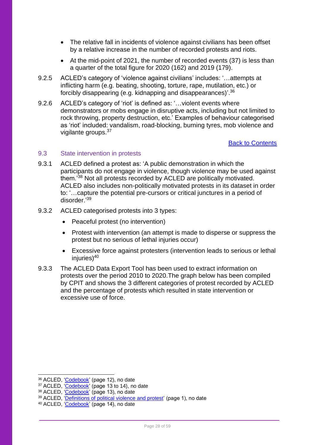- The relative fall in incidents of violence against civilians has been offset by a relative increase in the number of recorded protests and riots.
- At the mid-point of 2021, the number of recorded events (37) is less than a quarter of the total figure for 2020 (162) and 2019 (179).
- 9.2.5 ACLED's category of 'violence against civilians' includes: '…attempts at inflicting harm (e.g. beating, shooting, torture, rape, mutilation, etc.) or forcibly disappearing (e.g. kidnapping and disappearances)'.<sup>36</sup>
- 9.2.6 ACLED's category of 'riot' is defined as: '... violent events where demonstrators or mobs engage in disruptive acts, including but not limited to rock throwing, property destruction, etc.' Examples of behaviour categorised as 'riot' included: vandalism, road-blocking, burning tyres, mob violence and vigilante groups. 37

[Back to Contents](#page-2-0)

### <span id="page-27-0"></span>9.3 State intervention in protests

- 9.3.1 ACLED defined a protest as: 'A public demonstration in which the participants do not engage in violence, though violence may be used against them.'<sup>38</sup> Not all protests recorded by ACLED are politically motivated. ACLED also includes non-politically motivated protests in its dataset in order to: '…capture the potential pre-cursors or critical junctures in a period of disorder<sup>'39</sup>
- 9.3.2 ACLED categorised protests into 3 types:
	- Peaceful protest (no intervention)
	- Protest with intervention (an attempt is made to disperse or suppress the protest but no serious of lethal injuries occur)
	- Excessive force against protesters (intervention leads to serious or lethal injuries $140$
- 9.3.3 The ACLED Data Export Tool has been used to extract information on protests over the period 2010 to 2020.The graph below has been compiled by CPIT and shows the 3 different categories of protest recorded by ACLED and the percentage of protests which resulted in state intervention or excessive use of force.

<sup>36</sup> ACLED, ['Codebook'](https://acleddata.com/acleddatanew/wp-content/uploads/dlm_uploads/2019/01/ACLED_Codebook_2019FINAL.docx.pdf) (page 12), no date

<sup>&</sup>lt;sup>37</sup> ACLED, '<mark>Codebook</mark>' (page 13 to 14), no date

<sup>&</sup>lt;sup>38</sup> ACLED, ['Codebook'](https://acleddata.com/acleddatanew/wp-content/uploads/dlm_uploads/2019/01/ACLED_Codebook_2019FINAL.docx.pdf) (page 13), no date

<sup>&</sup>lt;sup>39</sup> ACLED, ['Definitions of political violence and protest'](https://acleddata.com/acleddatanew/wp-content/uploads/dlm_uploads/2019/04/ACLED-Event-Definitions_Final.pdf) (page 1), no date

<sup>40</sup> ACLED, ['Codebook'](https://acleddata.com/acleddatanew/wp-content/uploads/dlm_uploads/2019/01/ACLED_Codebook_2019FINAL.docx.pdf) (page 14), no date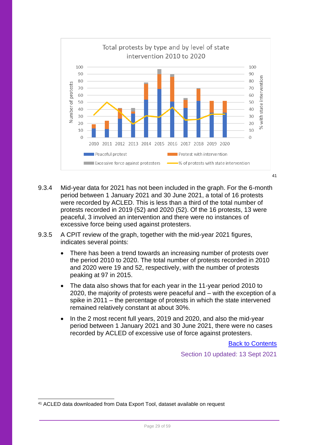

- 9.3.4 Mid-year data for 2021 has not been included in the graph. For the 6-month period between 1 January 2021 and 30 June 2021, a total of 16 protests were recorded by ACLED. This is less than a third of the total number of protests recorded in 2019 (52) and 2020 (52). Of the 16 protests, 13 were peaceful, 3 involved an intervention and there were no instances of excessive force being used against protesters.
- 9.3.5 A CPIT review of the graph, together with the mid-year 2021 figures, indicates several points:
	- There has been a trend towards an increasing number of protests over the period 2010 to 2020. The total number of protests recorded in 2010 and 2020 were 19 and 52, respectively, with the number of protests peaking at 97 in 2015.
	- The data also shows that for each year in the 11-year period 2010 to 2020, the majority of protests were peaceful and – with the exception of a spike in 2011 – the percentage of protests in which the state intervened remained relatively constant at about 30%.
	- In the 2 most recent full years, 2019 and 2020, and also the mid-year period between 1 January 2021 and 30 June 2021, there were no cases recorded by ACLED of excessive use of force against protesters.

[Back to Contents](#page-2-0)

Section 10 updated: 13 Sept 2021

<sup>41</sup> ACLED data downloaded from Data Export Tool, dataset available on request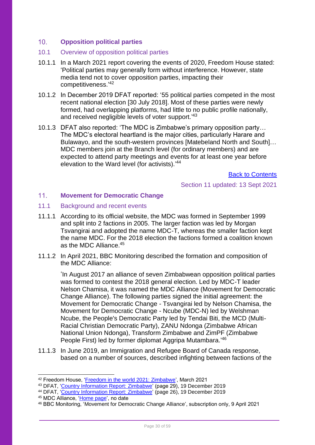#### <span id="page-29-0"></span> $10<sub>1</sub>$ **Opposition political parties**

### <span id="page-29-1"></span>10.1 Overview of opposition political parties

- 10.1.1 In a March 2021 report covering the events of 2020, Freedom House stated: 'Political parties may generally form without interference. However, state media tend not to cover opposition parties, impacting their competitiveness.' 42
- 10.1.2 In December 2019 DFAT reported: '55 political parties competed in the most recent national election [30 July 2018]. Most of these parties were newly formed, had overlapping platforms, had little to no public profile nationally, and received negligible levels of voter support.<sup>'43</sup>
- 10.1.3 DFAT also reported: 'The MDC is Zimbabwe's primary opposition party… The MDC's electoral heartland is the major cities, particularly Harare and Bulawayo, and the south-western provinces [Matebeland North and South]… MDC members join at the Branch level (for ordinary members) and are expected to attend party meetings and events for at least one year before elevation to the Ward level (for activists).<sup>'44</sup>

[Back to Contents](#page-2-0)

Section 11 updated: 13 Sept 2021

#### <span id="page-29-2"></span> $11.$ **Movement for Democratic Change**

- <span id="page-29-3"></span>11.1 Background and recent events
- 11.1.1 According to its official website, the MDC was formed in September 1999 and split into 2 factions in 2005. The larger faction was led by Morgan Tsvangirai and adopted the name MDC-T, whereas the smaller faction kept the name MDC. For the 2018 election the factions formed a coalition known as the MDC Alliance.<sup>45</sup>
- 11.1.2 In April 2021, BBC Monitoring described the formation and composition of the MDC Alliance:

'In August 2017 an alliance of seven Zimbabwean opposition political parties was formed to contest the 2018 general election. Led by MDC-T leader Nelson Chamisa, it was named the MDC Alliance (Movement for Democratic Change Alliance). The following parties signed the initial agreement: the Movement for Democratic Change - Tsvangirai led by Nelson Chamisa, the Movement for Democratic Change - Ncube (MDC-N) led by Welshman Ncube, the People's Democratic Party led by Tendai Biti, the MCD (Multi-Racial Christian Democratic Party), ZANU Ndonga (Zimbabwe African National Union Ndonga), Transform Zimbabwe and ZimPF (Zimbabwe People First) led by former diplomat Aggripa Mutambara.<sup>'46</sup>

11.1.3 In June 2019, an Immigration and Refugee Board of Canada response, based on a number of sources, described infighting between factions of the

- <sup>43</sup> DFAT, ['Country Information Report: Zimbabwe'](https://www.dfat.gov.au/sites/default/files/country-information-report-zimbabwe.pdf) (page 29), 19 December 2019
- <sup>44</sup> DFAT, ['Country Information Report: Zimbabwe'](https://www.dfat.gov.au/sites/default/files/country-information-report-zimbabwe.pdf) (page 26), 19 December 2019
- <sup>45</sup> MDC Alliance, ['Home page',](https://www.mdcallianceparty.org/) no date

<sup>42</sup> Freedom House, ['Freedom in the world 2021: Zimbabwe'](https://freedomhouse.org/country/zimbabwe/freedom-world/2021), March 2021

<sup>46</sup> BBC Monitoring, 'Movement for Democratic Change Alliance', subscription only, 9 April 2021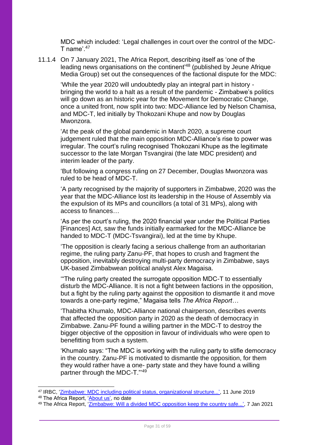MDC which included: 'Legal challenges in court over the control of the MDC-T name<sup> $,47$ </sup>

11.1.4 On 7 January 2021, The Africa Report, describing itself as 'one of the leading news organisations on the continent'<sup>48</sup> (published by Jeune Afrique Media Group) set out the consequences of the factional dispute for the MDC:

'While the year 2020 will undoubtedly play an integral part in history bringing the world to a halt as a result of the pandemic - Zimbabwe's politics will go down as an historic year for the Movement for Democratic Change, once a united front, now split into two: MDC-Alliance led by Nelson Chamisa, and MDC-T, led initially by Thokozani Khupe and now by Douglas Mwonzora.

'At the peak of the global pandemic in March 2020, a supreme court judgement ruled that the main opposition MDC-Alliance's rise to power was irregular. The court's ruling recognised Thokozani Khupe as the legitimate successor to the late Morgan Tsvangirai (the late MDC president) and interim leader of the party.

'But following a congress ruling on 27 December, Douglas Mwonzora was ruled to be head of MDC-T.

'A party recognised by the majority of supporters in Zimbabwe, 2020 was the year that the MDC-Alliance lost its leadership in the House of Assembly via the expulsion of its MPs and councillors (a total of 31 MPs), along with access to finances…

'As per the court's ruling, the 2020 financial year under the Political Parties [Finances] Act, saw the funds initially earmarked for the MDC-Alliance be handed to MDC-T (MDC-Tsvangirai), led at the time by Khupe.

'The opposition is clearly facing a serious challenge from an authoritarian regime, the ruling party Zanu-PF, that hopes to crush and fragment the opposition, inevitably destroying multi-party democracy in Zimbabwe, says UK-based Zimbabwean political analyst Alex Magaisa.

'"The ruling party created the surrogate opposition MDC-T to essentially disturb the MDC-Alliance. It is not a fight between factions in the opposition, but a fight by the ruling party against the opposition to dismantle it and move towards a one-party regime," Magaisa tells *The Africa Report…*

'Thabitha Khumalo, MDC-Alliance national chairperson, describes events that affected the opposition party in 2020 as the death of democracy in Zimbabwe. Zanu-PF found a willing partner in the MDC-T to destroy the bigger objective of the opposition in favour of individuals who were open to benefitting from such a system.

'Khumalo says: "The MDC is working with the ruling party to stifle democracy in the country. Zanu-PF is motivated to dismantle the opposition, for them they would rather have a one- party state and they have found a willing partner through the MDC-T."'<sup>49</sup>

<sup>47</sup> IRBC, ['Zimbabwe: MDC including political status, organizational structure...',](https://irb-cisr.gc.ca/en/country-information/rir/Pages/index.aspx?doc=457808) 11 June 2019 <sup>48</sup> The Africa Report, ['About us',](https://www.theafricareport.com/about-us/) no date

<sup>49</sup> The Africa Report, ['Zimbabwe: Will a divided MDC opposition keep the country safe...',](https://www.theafricareport.com/57513/zimbabwe-will-a-divided-mdc-opposition-keep-the-country-safe-from-a-one-party-state/) 7 Jan 2021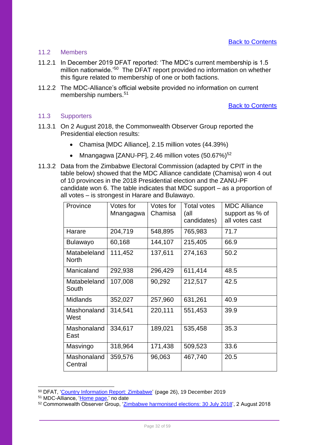### <span id="page-31-0"></span>11.2 Members

- 11.2.1 In December 2019 DFAT reported: 'The MDC's current membership is 1.5 million nationwide.<sup>'50</sup> The DFAT report provided no information on whether this figure related to membership of one or both factions.
- 11.2.2 The MDC-Alliance's official website provided no information on current membership numbers.<sup>51</sup>

[Back to Contents](#page-2-0)

### <span id="page-31-1"></span>11.3 Supporters

- 11.3.1 On 2 August 2018, the Commonwealth Observer Group reported the Presidential election results:
	- Chamisa [MDC Alliance], 2.15 million votes (44.39%)
	- Mnangagwa [ZANU-PF], 2.46 million votes  $(50.67\%)^{52}$
- 11.3.2 Data from the Zimbabwe Electoral Commission (adapted by CPIT in the table below) showed that the MDC Alliance candidate (Chamisa) won 4 out of 10 provinces in the 2018 Presidential election and the ZANU-PF candidate won 6. The table indicates that MDC support – as a proportion of all votes – is strongest in Harare and Bulawayo.

| Province                     | Votes for<br>Mnangagwa | Votes for<br>Chamisa | Total votes<br>(all<br>candidates) | <b>MDC Alliance</b><br>support as % of<br>all votes cast |
|------------------------------|------------------------|----------------------|------------------------------------|----------------------------------------------------------|
| Harare                       | 204,719                | 548,895              | 765,983                            | 71.7                                                     |
| <b>Bulawayo</b>              | 60,168                 | 144,107              | 215,405                            | 66.9                                                     |
| Matabeleland<br><b>North</b> | 111,452                | 137,611              | 274,163                            | 50.2                                                     |
| Manicaland                   | 292,938                | 296,429              | 611,414                            | 48.5                                                     |
| Matabeleland<br>South        | 107,008                | 90,292               | 212,517                            | 42.5                                                     |
| <b>Midlands</b>              | 352,027                | 257,960              | 631,261                            | 40.9                                                     |
| Mashonaland<br>West          | 314,541                | 220,111              | 551,453                            | 39.9                                                     |
| Mashonaland<br>East          | 334,617                | 189,021              | 535,458                            | 35.3                                                     |
| Masvingo                     | 318,964                | 171,438              | 509,523                            | 33.6                                                     |
| Mashonaland<br>Central       | 359,576                | 96,063               | 467,740                            | 20.5                                                     |

<sup>50</sup> DFAT, ['Country Information Report: Zimbabwe'](https://www.dfat.gov.au/sites/default/files/country-information-report-zimbabwe.pdf) (page 26), 19 December 2019

<sup>51</sup> MDC-Alliance, ['Home page,](https://www.mdcallianceparty.org/)' no date

<sup>52</sup> Commonwealth Observer Group, ['Zimbabwe harmonised elections: 30 July 2018',](https://thecommonwealth.org/sites/default/files/inline/Zimbabwe%202018%20COG%20Report%20-%20Final.pdf) 2 August 2018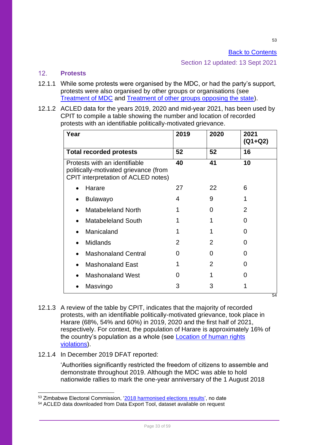[Back to Contents](#page-2-0)

Section 12 updated: 13 Sept 2021

#### <span id="page-32-0"></span> $12<sup>7</sup>$ **Protests**

- 12.1.1 While some protests were organised by the MDC, or had the party's support, protests were also organised by other groups or organisations (see [Treatment of MDC](#page-39-0) and [Treatment of other groups opposing the state\)](#page-43-0).
- 12.1.2 ACLED data for the years 2019, 2020 and mid-year 2021, has been used by CPIT to compile a table showing the number and location of recorded protests with an identifiable politically-motivated grievance.

| Year                                                                                                          | 2019              | 2020              | 2021<br>$(Q1 + Q2)$ |
|---------------------------------------------------------------------------------------------------------------|-------------------|-------------------|---------------------|
| <b>Total recorded protests</b>                                                                                | 52                | 52                | 16                  |
| Protests with an identifiable<br>politically-motivated grievance (from<br>CPIT interpretation of ACLED notes) | 40                | 41                | 10                  |
| Harare                                                                                                        | 27                | 22                | 6                   |
| <b>Bulawayo</b>                                                                                               | 4                 | 9                 |                     |
| <b>Matabeleland North</b>                                                                                     |                   | $\mathbf{\Omega}$ | 2                   |
| <b>Matabeleland South</b>                                                                                     |                   |                   | O                   |
| Manicaland                                                                                                    |                   |                   |                     |
| <b>Midlands</b>                                                                                               | 2                 | 2                 | O                   |
| <b>Mashonaland Central</b>                                                                                    | 0                 | 0                 |                     |
| <b>Mashonaland East</b>                                                                                       |                   | 2                 |                     |
| <b>Mashonaland West</b>                                                                                       | $\mathbf{\Omega}$ |                   |                     |
| Masvingo                                                                                                      | 3                 | 3                 | 54                  |
|                                                                                                               |                   |                   |                     |

- 12.1.3 A review of the table by CPIT, indicates that the majority of recorded protests, with an identifiable politically-motivated grievance, took place in Harare (68%, 54% and 60%) in 2019, 2020 and the first half of 2021, respectively. For context, the population of Harare is approximately 16% of the country's population as a whole (see [Location of human rights](#page-21-0)  [violations\)](#page-21-0).
- 12.1.4 In December 2019 DFAT reported:

'Authorities significantly restricted the freedom of citizens to assemble and demonstrate throughout 2019. Although the MDC was able to hold nationwide rallies to mark the one-year anniversary of the 1 August 2018

<sup>53</sup> Zimbabwe Electoral Commission, ['2018 harmonised elections results',](https://www.zec.org.zw/pages/election_results2018) no date

<sup>54</sup> ACLED data downloaded from Data Export Tool, dataset available on request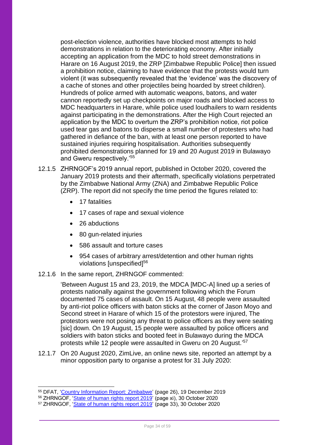post-election violence, authorities have blocked most attempts to hold demonstrations in relation to the deteriorating economy. After initially accepting an application from the MDC to hold street demonstrations in Harare on 16 August 2019, the ZRP [Zimbabwe Republic Police] then issued a prohibition notice, claiming to have evidence that the protests would turn violent (it was subsequently revealed that the 'evidence' was the discovery of a cache of stones and other projectiles being hoarded by street children). Hundreds of police armed with automatic weapons, batons, and water cannon reportedly set up checkpoints on major roads and blocked access to MDC headquarters in Harare, while police used loudhailers to warn residents against participating in the demonstrations. After the High Court rejected an application by the MDC to overturn the ZRP's prohibition notice, riot police used tear gas and batons to disperse a small number of protesters who had gathered in defiance of the ban, with at least one person reported to have sustained injuries requiring hospitalisation. Authorities subsequently prohibited demonstrations planned for 19 and 20 August 2019 in Bulawayo and Gweru respectively.'<sup>55</sup>

- 12.1.5 ZHRNGOF's 2019 annual report, published in October 2020, covered the January 2019 protests and their aftermath, specifically violations perpetrated by the Zimbabwe National Army (ZNA) and Zimbabwe Republic Police (ZRP). The report did not specify the time period the figures related to:
	- 17 fatalities
	- 17 cases of rape and sexual violence
	- 26 abductions
	- 80 gun-related injuries
	- 586 assault and torture cases
	- 954 cases of arbitrary arrest/detention and other human rights violations [unspecified]<sup>56</sup>

### 12.1.6 In the same report, ZHRNGOF commented:

'Between August 15 and 23, 2019, the MDCA [MDC-A] lined up a series of protests nationally against the government following which the Forum documented 75 cases of assault. On 15 August, 48 people were assaulted by anti-riot police officers with baton sticks at the corner of Jason Moyo and Second street in Harare of which 15 of the protestors were injured, The protestors were not posing any threat to police officers as they were seating [sic] down. On 19 August, 15 people were assaulted by police officers and soldiers with baton sticks and booted feet in Bulawayo during the MDCA protests while 12 people were assaulted in Gweru on 20 August.'<sup>57</sup>

12.1.7 On 20 August 2020, ZimLive, an online news site, reported an attempt by a minor opposition party to organise a protest for 31 July 2020:

<sup>&</sup>lt;sup>55</sup> DFAT, 'Country [Information Report: Zimbabwe'](https://www.dfat.gov.au/sites/default/files/country-information-report-zimbabwe.pdf) (page 26), 19 December 2019

<sup>&</sup>lt;sup>56</sup> ZHRNGOF, '*State of human rights report 2019'* (page xi), 30 October 2020

<sup>&</sup>lt;sup>57</sup> ZHRNGOF, ['State of human rights report 2019'](http://kubatana.net/wp-content/uploads/2020/11/State-of-Human-Rights-Report-2019lr-1.pdf) (page 33), 30 October 2020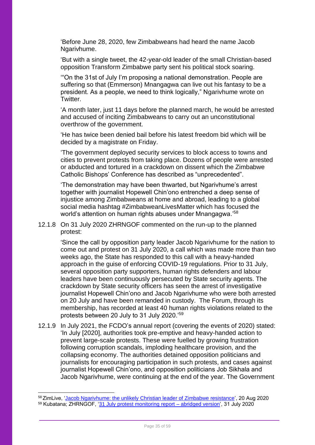'Before June 28, 2020, few Zimbabweans had heard the name Jacob Ngarivhume.

'But with a single tweet, the 42-year-old leader of the small Christian-based opposition Transform Zimbabwe party sent his political stock soaring.

'"On the 31st of July I'm proposing a national demonstration. People are suffering so that (Emmerson) Mnangagwa can live out his fantasy to be a president. As a people, we need to think logically," Ngarivhume wrote on Twitter.

'A month later, just 11 days before the planned march, he would be arrested and accused of inciting Zimbabweans to carry out an unconstitutional overthrow of the government.

'He has twice been denied bail before his latest freedom bid which will be decided by a magistrate on Friday.

'The government deployed security services to block access to towns and cities to prevent protests from taking place. Dozens of people were arrested or abducted and tortured in a crackdown on dissent which the Zimbabwe Catholic Bishops' Conference has described as "unprecedented".

'The demonstration may have been thwarted, but Ngarivhume's arrest together with journalist Hopewell Chin'ono entrenched a deep sense of injustice among Zimbabweans at home and abroad, leading to a global social media hashtag #ZimbabweanLivesMatter which has focused the world's attention on human rights abuses under Mnangagwa.' 58

12.1.8 On 31 July 2020 ZHRNGOF commented on the run-up to the planned protest:

'Since the call by opposition party leader Jacob Ngarivhume for the nation to come out and protest on 31 July 2020, a call which was made more than two weeks ago, the State has responded to this call with a heavy-handed approach in the guise of enforcing COVID-19 regulations. Prior to 31 July, several opposition party supporters, human rights defenders and labour leaders have been continuously persecuted by State security agents. The crackdown by State security officers has seen the arrest of investigative journalist Hopewell Chin'ono and Jacob Ngarivhume who were both arrested on 20 July and have been remanded in custody. The Forum, through its membership, has recorded at least 40 human rights violations related to the protests between 20 July to 31 July 2020.'<sup>59</sup>

12.1.9 In July 2021, the FCDO's annual report (covering the events of 2020) stated: 'In July [2020], authorities took pre-emptive and heavy-handed action to prevent large-scale protests. These were fuelled by growing frustration following corruption scandals, imploding healthcare provision, and the collapsing economy. The authorities detained opposition politicians and journalists for encouraging participation in such protests, and cases against journalist Hopewell Chin'ono, and opposition politicians Job Sikhala and Jacob Ngarivhume, were continuing at the end of the year. The Government

<sup>58</sup> ZimLive, ['Jacob Ngarivhume: the unlikely Christian leader of Zimbabwe resistance',](https://www.zimlive.com/2020/08/20/jacob-ngarivhume-the-unlikely-christian-leader-of-zimbabwe-resistance/) 20 Aug 2020 <sup>59</sup> Kubatana; ZHRNGOF, '31 July [protest monitoring report –](http://kubatana.net/2020/07/31/31-july-protest-monitoring-report-abridged-version/) abridged version', 31 July 2020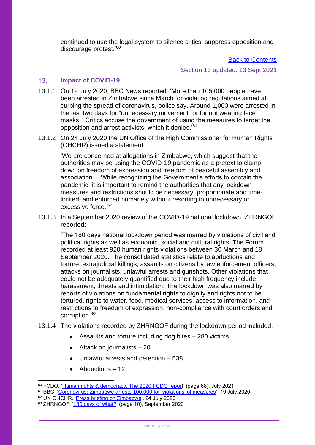continued to use the legal system to silence critics, suppress opposition and discourage protest.'<sup>60</sup>

[Back to Contents](#page-2-0)

Section 13 updated: 13 Sept 2021

#### <span id="page-35-0"></span> $13<sub>1</sub>$ **Impact of COVID-19**

- 13.1.1 On 19 July 2020, BBC News reported: 'More than 105,000 people have been arrested in Zimbabwe since March for violating regulations aimed at curbing the spread of coronavirus, police say. Around 1,000 were arrested in the last two days for "unnecessary movement" or for not wearing face masks…Critics accuse the government of using the measures to target the opposition and arrest activists, which it denies.'<sup>61</sup>
- 13.1.2 On 24 July 2020 the UN Office of the High Commissioner for Human Rights (OHCHR) issued a statement:

'We are concerned at allegations in Zimbabwe, which suggest that the authorities may be using the COVID-19 pandemic as a pretext to clamp down on freedom of expression and freedom of peaceful assembly and association… While recognizing the Government's efforts to contain the pandemic, it is important to remind the authorities that any lockdown measures and restrictions should be necessary, proportionate and timelimited, and enforced humanely without resorting to unnecessary or excessive force.'62

13.1.3 In a September 2020 review of the COVID-19 national lockdown, ZHRNGOF reported:

'The 180 days national lockdown period was marred by violations of civil and political rights as well as economic, social and cultural rights. The Forum recorded at least 920 human rights violations between 30 March and 18 September 2020. The consolidated statistics relate to abductions and torture, extrajudicial killings, assaults on citizens by law enforcement officers, attacks on journalists, unlawful arrests and gunshots. Other violations that could not be adequately quantified due to their high frequency include harassment, threats and intimidation. The lockdown was also marred by reports of violations on fundamental rights to dignity and rights not to be tortured, rights to water, food, medical services, access to information, and restrictions to freedom of expression, non-compliance with court orders and corruption.'<sup>63</sup>

- 13.1.4 The violations recorded by ZHRNGOF during the lockdown period included:
	- Assaults and torture including dog bites 280 victims
	- Attack on journalists 20
	- Unlawful arrests and detention 538
	- Abductions 12

<sup>&</sup>lt;sup>60</sup> FCDO, '<u>Human rights & democracy. The 2020 FCDO repor</u>t' (page 68), July 2021

<sup>61</sup> BBC, ['Coronavirus: Zimbabwe arrests 100,000 for 'violations' of measures',](https://www.bbc.co.uk/news/world-africa-53462259) 19 July 2020

<sup>62</sup> UN OHCHR, ['Press briefing on Zimbabwe',](https://www.ohchr.org/en/NewsEvents/Pages/DisplayNews.aspx?NewsID=26121&LangID=E) 24 July 2020

<sup>63</sup> ZHRNGOF, ['180 days of what?'](http://kubatana.net/wp-content/uploads/2020/10/180-Days-of-What-lr.pdf) (page 10), September 2020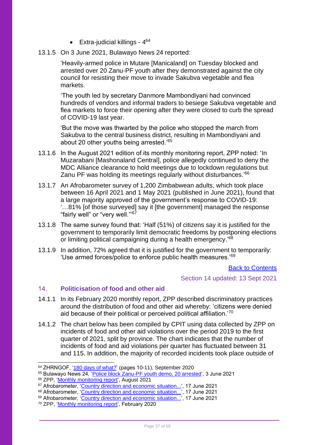- $\bullet$  Extra-judicial killings  $4^{64}$
- 13.1.5 On 3 June 2021, Bulawayo News 24 reported:

'Heavily-armed police in Mutare [Manicaland] on Tuesday blocked and arrested over 20 Zanu-PF youth after they demonstrated against the city council for resisting their move to invade Sakubva vegetable and flea markets.

'The youth led by secretary Danmore Mambondiyani had convinced hundreds of vendors and informal traders to besiege Sakubva vegetable and flea markets to force their opening after they were closed to curb the spread of COVID-19 last year.

'But the move was thwarted by the police who stopped the march from Sakubva to the central business district, resulting in Mambondiyani and about 20 other youths being arrested.<sup>'65</sup>

- 13.1.6 In the August 2021 edition of its monthly monitoring report, ZPP noted: 'In Muzarabani [Mashonaland Central], police allegedly continued to deny the MDC Alliance clearance to hold meetings due to lockdown regulations but Zanu PF was holding its meetings regularly without disturbances.'<sup>66</sup>
- 13.1.7 An Afrobarometer survey of 1,200 Zimbabwean adults, which took place between 16 April 2021 and 1 May 2021 (published in June 2021), found that a large majority approved of the government's response to COVID-19: '…81% [of those surveyed] say it [the government] managed the response "fairly well" or "very well."' 67
- 13.1.8 The same survey found that: 'Half (51%) of citizens say it is justified for the government to temporarily limit democratic freedoms by postponing elections or limiting political campaigning during a health emergency.'<sup>68</sup>
- 13.1.9 In addition, 72% agreed that it is justified for the government to temporarily: 'Use armed forces/police to enforce public health measures.'<sup>69</sup>

### [Back to Contents](#page-2-0)

Section 14 updated: 13 Sept 2021

#### <span id="page-36-0"></span> $14<sub>1</sub>$ **Politicisation of food and other aid**

- 14.1.1 In its February 2020 monthly report, ZPP described discriminatory practices around the distribution of food and other aid whereby: 'citizens were denied aid because of their political or perceived political affiliation.'<sup>70</sup>
- 14.1.2 The chart below has been compiled by CPIT using data collected by ZPP on incidents of food and other aid violations over the period 2019 to the first quarter of 2021, split by province. The chart indicates that the number of incidents of food and aid violations per quarter has fluctuated between 31 and 115. In addition, the majority of recorded incidents took place outside of

<sup>64</sup> ZHRNGOF, ['180 days of what?'](http://kubatana.net/wp-content/uploads/2020/10/180-Days-of-What-lr.pdf) (pages 10-11), September 2020

<sup>&</sup>lt;sup>65</sup> Bulawayo News 24, '<u>Police block Zanu-PF youth demo, 20 arrested</u>', 3 June 2021

<sup>&</sup>lt;sup>66</sup> ZPP, '<u>Monthly monitoring report</u>', August 2021

<sup>67</sup> Afrobarometer, ['Country direction and economic situation...',](https://afrobarometer.org/media-briefings/findings-afrobarometer-round-8-survey-zimbabwe) 17 June 2021

<sup>68</sup> Afrobarometer, ['Country direction and economic situation...',](https://afrobarometer.org/media-briefings/findings-afrobarometer-round-8-survey-zimbabwe) 17 June 2021

<sup>69</sup> Afrobarometer, ['Country direction and economic situation...',](https://afrobarometer.org/media-briefings/findings-afrobarometer-round-8-survey-zimbabwe) 17 June 2021

<sup>70</sup> ZPP, ['Monthly monitoring report',](https://data.zimpeaceproject.com/en/entity/blkyb8gco1?page=1) February 2020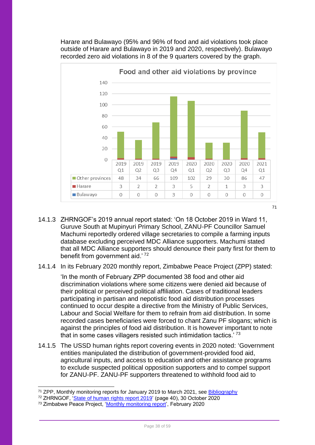Harare and Bulawayo (95% and 96% of food and aid violations took place outside of Harare and Bulawayo in 2019 and 2020, respectively). Bulawayo recorded zero aid violations in 8 of the 9 quarters covered by the graph.



- 14.1.3 ZHRNGOF's 2019 annual report stated: 'On 18 October 2019 in Ward 11, Guruve South at Mupinyuri Primary School, ZANU-PF Councillor Samuel Machumi reportedly ordered village secretaries to compile a farming inputs database excluding perceived MDC Alliance supporters. Machumi stated that all MDC Alliance supporters should denounce their party first for them to benefit from government aid.' <sup>72</sup>
- 14.1.4 In its February 2020 monthly report, Zimbabwe Peace Project (ZPP) stated:

'In the month of February ZPP documented 38 food and other aid discrimination violations where some citizens were denied aid because of their political or perceived political affiliation. Cases of traditional leaders participating in partisan and nepotistic food aid distribution processes continued to occur despite a directive from the Ministry of Public Services, Labour and Social Welfare for them to refrain from aid distribution. In some recorded cases beneficiaries were forced to chant Zanu PF slogans; which is against the principles of food aid distribution. It is however important to note that in some cases villagers resisted such intimidation tactics.<sup>' $73$ </sup>

- 14.1.5 The USSD human rights report covering events in 2020 noted: 'Government entities manipulated the distribution of government-provided food aid, agricultural inputs, and access to education and other assistance programs to exclude suspected political opposition supporters and to compel support for ZANU-PF. ZANU-PF supporters threatened to withhold food aid to
- <sup>71</sup> ZPP, Monthly monitoring reports for January 2019 to March 2021, see **Bibliography**

<sup>&</sup>lt;sup>72</sup> ZHRNGOF, ['State of human rights report 2019'](http://kubatana.net/wp-content/uploads/2020/11/State-of-Human-Rights-Report-2019lr-1.pdf) (page 40), 30 October 2020

<sup>73</sup> Zimbabwe Peace Project, ['Monthly monitoring report',](https://data.zimpeaceproject.com/en/entity/blkyb8gco1?page=1) February 2020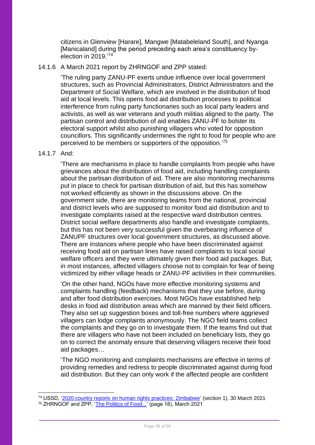citizens in Glenview [Harare], Mangwe [Matabeleland South], and Nyanga [Manicaland] during the period preceding each area's constituency byelection in 2019<sup>'74</sup>

### 14.1.6 A March 2021 report by ZHRNGOF and ZPP stated:

'The ruling party ZANU-PF exerts undue influence over local government structures, such as Provincial Administrators, District Administrators and the Department of Social Welfare, which are involved in the distribution of food aid at local levels. This opens food aid distribution processes to political interference from ruling party functionaries such as local party leaders and activists, as well as war veterans and youth militias aligned to the party. The partisan control and distribution of aid enables ZANU-PF to bolster its electoral support whilst also punishing villagers who voted for opposition councillors. This significantly undermines the right to food for people who are perceived to be members or supporters of the opposition.'75

### 14.1.7 And:

'There are mechanisms in place to handle complaints from people who have grievances about the distribution of food aid, including handling complaints about the partisan distribution of aid. There are also monitoring mechanisms put in place to check for partisan distribution of aid, but this has somehow not worked efficiently as shown in the discussions above. On the government side, there are monitoring teams from the national, provincial and district levels who are supposed to monitor food aid distribution and to investigate complaints raised at the respective ward distribution centres. District social welfare departments also handle and investigate complaints, but this has not been very successful given the overbearing influence of ZANUPF structures over local government structures, as discussed above. There are instances where people who have been discriminated against receiving food aid on partisan lines have raised complaints to local social welfare officers and they were ultimately given their food aid packages. But, in most instances, affected villagers choose not to complain for fear of being victimized by either village heads or ZANU-PF activities in their communities.

'On the other hand, NGOs have more effective monitoring systems and complaints handling (feedback) mechanisms that they use before, during and after food distribution exercises. Most NGOs have established help desks in food aid distribution areas which are manned by their field officers. They also set up suggestion boxes and toll-free numbers where aggrieved villagers can lodge complaints anonymously. The NGO field teams collect the complaints and they go on to investigate them. If the teams find out that there are villagers who have not been included on beneficiary lists, they go on to correct the anomaly ensure that deserving villagers receive their food aid packages…

'The NGO monitoring and complaints mechanisms are effective in terms of providing remedies and redress to people discriminated against during food aid distribution. But they can only work if the affected people are confident

<sup>74</sup> USSD, ['2020 country reports on human rights practices: Zimbabwe'](https://www.state.gov/reports/2020-country-reports-on-human-rights-practices/zimbabwe/) (section 1), 30 March 2021 <sup>75</sup> ZHRNGOF and ZPP, ['The Politics of Food...'](https://reliefweb.int/sites/reliefweb.int/files/resources/1615803851127r38eqzh83co.pdf) (page 18), March 2021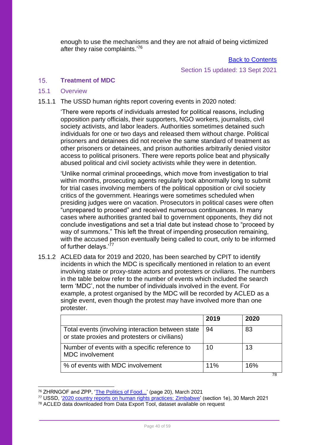enough to use the mechanisms and they are not afraid of being victimized after they raise complaints.'<sup>76</sup>

[Back to Contents](#page-2-0)

Section 15 updated: 13 Sept 2021

#### <span id="page-39-0"></span> $15<sub>1</sub>$ **Treatment of MDC**

### <span id="page-39-1"></span>15.1 Overview

15.1.1 The USSD human rights report covering events in 2020 noted:

'There were reports of individuals arrested for political reasons, including opposition party officials, their supporters, NGO workers, journalists, civil society activists, and labor leaders. Authorities sometimes detained such individuals for one or two days and released them without charge. Political prisoners and detainees did not receive the same standard of treatment as other prisoners or detainees, and prison authorities arbitrarily denied visitor access to political prisoners. There were reports police beat and physically abused political and civil society activists while they were in detention.

'Unlike normal criminal proceedings, which move from investigation to trial within months, prosecuting agents regularly took abnormally long to submit for trial cases involving members of the political opposition or civil society critics of the government. Hearings were sometimes scheduled when presiding judges were on vacation. Prosecutors in political cases were often "unprepared to proceed" and received numerous continuances. In many cases where authorities granted bail to government opponents, they did not conclude investigations and set a trial date but instead chose to "proceed by way of summons." This left the threat of impending prosecution remaining, with the accused person eventually being called to court, only to be informed of further delays.<sup>'77</sup>

15.1.2 ACLED data for 2019 and 2020, has been searched by CPIT to identify incidents in which the MDC is specifically mentioned in relation to an event involving state or proxy-state actors and protesters or civilians. The numbers in the table below refer to the number of events which included the search term 'MDC', not the number of individuals involved in the event. For example, a protest organised by the MDC will be recorded by ACLED as a single event, even though the protest may have involved more than one protester.

|                                                                                                    | 2019 | 2020 |
|----------------------------------------------------------------------------------------------------|------|------|
| Total events (involving interaction between state<br>or state proxies and protesters or civilians) | 94   | 83   |
| Number of events with a specific reference to<br><b>MDC</b> involvement                            | 10   | 13   |
| % of events with MDC involvement                                                                   | 11%  | 16%  |
|                                                                                                    |      | 78   |

<sup>&</sup>lt;sup>76</sup> ZHRNGOF and ZPP, ['The Politics of Food...'](https://reliefweb.int/sites/reliefweb.int/files/resources/1615803851127r38eqzh83co.pdf) (page 20), March 2021 <sup>77</sup> USSD, ['2020 country reports on human rights practices: Zimbabwe'](https://www.state.gov/reports/2020-country-reports-on-human-rights-practices/zimbabwe/) (section 1e), 30 March 2021

<sup>78</sup> ACLED data downloaded from Data Export Tool, dataset available on request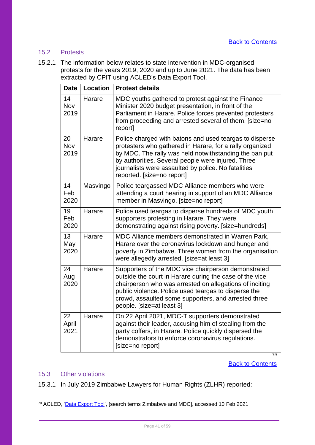### <span id="page-40-0"></span>15.2 Protests

15.2.1 The information below relates to state intervention in MDC-organised protests for the years 2019, 2020 and up to June 2021. The data has been extracted by CPIT using ACLED's Data Export Tool.

| <b>Date</b>              | <b>Location</b> | <b>Protest details</b>                                                                                                                                                                                                                                                                                                   |
|--------------------------|-----------------|--------------------------------------------------------------------------------------------------------------------------------------------------------------------------------------------------------------------------------------------------------------------------------------------------------------------------|
| 14<br><b>Nov</b><br>2019 | Harare          | MDC youths gathered to protest against the Finance<br>Minister 2020 budget presentation, in front of the<br>Parliament in Harare. Police forces prevented protesters<br>from proceeding and arrested several of them. [size=no<br>report]                                                                                |
| 20<br>Nov<br>2019        | Harare          | Police charged with batons and used teargas to disperse<br>protesters who gathered in Harare, for a rally organized<br>by MDC. The rally was held notwithstanding the ban put<br>by authorities. Several people were injured. Three<br>journalists were assaulted by police. No fatalities<br>reported. [size=no report] |
| 14<br>Feb<br>2020        | Masvingo        | Police teargassed MDC Alliance members who were<br>attending a court hearing in support of an MDC Alliance<br>member in Masvingo. [size=no report]                                                                                                                                                                       |
| 19<br>Feb<br>2020        | Harare          | Police used teargas to disperse hundreds of MDC youth<br>supporters protesting in Harare. They were<br>demonstrating against rising poverty. [size=hundreds]                                                                                                                                                             |
| 13<br>May<br>2020        | Harare          | MDC Alliance members demonstrated in Warren Park,<br>Harare over the coronavirus lockdown and hunger and<br>poverty in Zimbabwe. Three women from the organisation<br>were allegedly arrested. [size=at least 3]                                                                                                         |
| 24<br>Aug<br>2020        | Harare          | Supporters of the MDC vice chairperson demonstrated<br>outside the court in Harare during the case of the vice<br>chairperson who was arrested on allegations of inciting<br>public violence. Police used teargas to disperse the<br>crowd, assaulted some supporters, and arrested three<br>people. [size=at least 3]   |
| 22<br>April<br>2021      | Harare          | On 22 April 2021, MDC-T supporters demonstrated<br>against their leader, accusing him of stealing from the<br>party coffers, in Harare. Police quickly dispersed the<br>demonstrators to enforce coronavirus regulations.<br>[size=no report]                                                                            |

**[Back to Contents](#page-2-0)** 

79

### <span id="page-40-1"></span>15.3 Other violations

15.3.1 In July 2019 Zimbabwe Lawyers for Human Rights (ZLHR) reported:

<sup>79</sup> ACLED, ['Data Export Tool'](https://acleddata.com/data-export-tool/), [search terms Zimbabwe and MDC], accessed 10 Feb 2021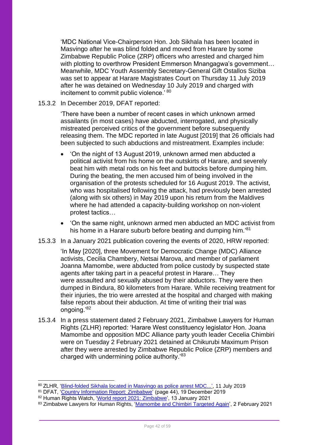'MDC National Vice-Chairperson Hon. Job Sikhala has been located in Masvingo after he was blind folded and moved from Harare by some Zimbabwe Republic Police (ZRP) officers who arrested and charged him with plotting to overthrow President Emmerson Mnangagwa's government… Meanwhile, MDC Youth Assembly Secretary-General Gift Ostallos Siziba was set to appear at Harare Magistrates Court on Thursday 11 July 2019 after he was detained on Wednesday 10 July 2019 and charged with incitement to commit public violence.' <sup>80</sup>

### 15.3.2 In December 2019, DFAT reported:

'There have been a number of recent cases in which unknown armed assailants (in most cases) have abducted, interrogated, and physically mistreated perceived critics of the government before subsequently releasing them. The MDC reported in late August [2019] that 26 officials had been subjected to such abductions and mistreatment. Examples include:

- 'On the night of 13 August 2019, unknown armed men abducted a political activist from his home on the outskirts of Harare, and severely beat him with metal rods on his feet and buttocks before dumping him. During the beating, the men accused him of being involved in the organisation of the protests scheduled for 16 August 2019. The activist, who was hospitalised following the attack, had previously been arrested (along with six others) in May 2019 upon his return from the Maldives where he had attended a capacity-building workshop on non-violent protest tactics…
- 'On the same night, unknown armed men abducted an MDC activist from his home in a Harare suburb before beating and dumping him.'<sup>81</sup>
- 15.3.3 In a January 2021 publication covering the events of 2020, HRW reported:

'In May [2020], three Movement for Democratic Change (MDC) Alliance activists, Cecilia Chambery, Netsai Marova, and member of parliament Joanna Mamombe, were abducted from police custody by suspected state agents after taking part in a peaceful protest in Harare… They were assaulted and sexually abused by their abductors. They were then dumped in Bindura, 80 kilometers from Harare. While receiving treatment for their injuries, the trio were arrested at the hospital and charged with making false reports about their abduction. At time of writing their trial was ongoing.'<sup>82</sup>

15.3.4 In a press statement dated 2 February 2021, Zimbabwe Lawyers for Human Rights (ZLHR) reported: 'Harare West constituency legislator Hon. Joana Mamombe and opposition MDC Alliance party youth leader Cecelia Chimbiri were on Tuesday 2 February 2021 detained at Chikurubi Maximum Prison after they were arrested by Zimbabwe Republic Police (ZRP) members and charged with undermining police authority.'<sup>83</sup>

<sup>&</sup>lt;sup>80</sup> ZLHR, '<u>Blind-folded Sikhala located in Masvingo as police arrest MDC...', 11 July 2019</u>

<sup>81</sup> DFAT, ['Country Information Report: Zimbabwe'](https://www.dfat.gov.au/sites/default/files/country-information-report-zimbabwe.pdf) (page 44), 19 December 2019

<sup>82</sup> Human Rights Watch, ['World report 2021: Zimbabwe',](https://www.hrw.org/world-report/2021/country-chapters/zimbabwe) 13 January 2021

<sup>83</sup> Zimbabwe Lawyers for Human Rights, ['Mamombe and Chimbiri Targeted Again',](https://www.zlhr.org.zw/?p=2278) 2 February 2021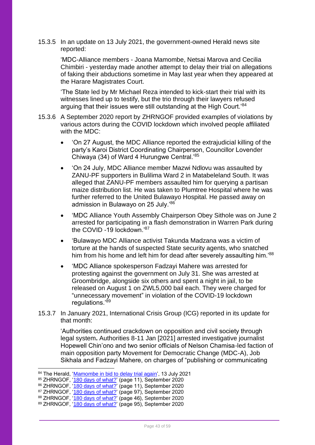15.3.5 In an update on 13 July 2021, the government-owned Herald news site reported:

'MDC-Alliance members - Joana Mamombe, Netsai Marova and Cecilia Chimbiri - yesterday made another attempt to delay their trial on allegations of faking their abductions sometime in May last year when they appeared at the Harare Magistrates Court.

'The State led by Mr Michael Reza intended to kick-start their trial with its witnesses lined up to testify, but the trio through their lawyers refused arguing that their issues were still outstanding at the High Court.<sup>'84</sup>

- 15.3.6 A September 2020 report by ZHRNGOF provided examples of violations by various actors during the COVID lockdown which involved people affiliated with the MDC:
	- 'On 27 August, the MDC Alliance reported the extrajudicial killing of the party's Karoi District Coordinating Chairperson, Councillor Lovender Chiwaya (34) of Ward 4 Hurungwe Central.'<sup>85</sup>
	- 'On 24 July, MDC Alliance member Mazwi Ndlovu was assaulted by ZANU-PF supporters in Bulilima Ward 2 in Matabeleland South. It was alleged that ZANU-PF members assaulted him for querying a partisan maize distribution list. He was taken to Plumtree Hospital where he was further referred to the United Bulawayo Hospital. He passed away on admission in Bulawayo on 25 July.'<sup>86</sup>
	- 'MDC Alliance Youth Assembly Chairperson Obey Sithole was on June 2 arrested for participating in a flash demonstration in Warren Park during the COVID -19 lockdown.'<sup>87</sup>
	- 'Bulawayo MDC Alliance activist Takunda Madzana was a victim of torture at the hands of suspected State security agents, who snatched him from his home and left him for dead after severely assaulting him.<sup>'88</sup>
	- 'MDC Alliance spokesperson Fadzayi Mahere was arrested for protesting against the government on July 31. She was arrested at Groombridge, alongside six others and spent a night in jail, to be released on August 1 on ZWL5,000 bail each. They were charged for "unnecessary movement" in violation of the COVID-19 lockdown regulations.'89
- 15.3.7 In January 2021, International Crisis Group (ICG) reported in its update for that month:

'Authorities continued crackdown on opposition and civil society through legal system**.** Authorities 8-11 Jan [2021] arrested investigative journalist Hopewell Chin'ono and two senior officials of Nelson Chamisa-led faction of main opposition party Movement for Democratic Change (MDC-A), Job Sikhala and Fadzayi Mahere, on charges of "publishing or communicating

<sup>84</sup> The Herald, ['Mamombe in bid to delay trial again'](https://www.herald.co.zw/mamombe-in-bid-to-delay-trial-again/), 13 July 2021

<sup>&</sup>lt;sup>85</sup> ZHRNGOF, '<u>180 days of what?</u>' (page 11), September 2020

<sup>&</sup>lt;sup>86</sup> ZHRNGOF, '<u>180 days of what?</u>' (page 11), September 2020

<sup>87</sup> ZHRNGOF, ['180 days of what?'](http://kubatana.net/wp-content/uploads/2020/10/180-Days-of-What-lr.pdf) (page 97), September 2020

<sup>88</sup> ZHRNGOF, ['180 days of what?'](http://kubatana.net/wp-content/uploads/2020/10/180-Days-of-What-lr.pdf) (page 46), September 2020

<sup>89</sup> ZHRNGOF, ['180 days of what?'](http://kubatana.net/wp-content/uploads/2020/10/180-Days-of-What-lr.pdf) (page 95), September 2020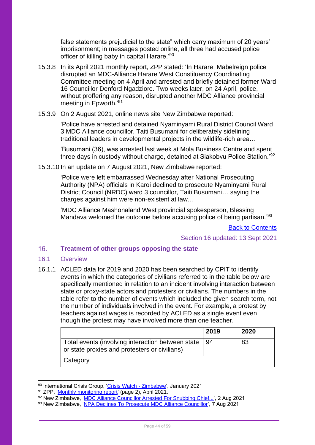false statements prejudicial to the state" which carry maximum of 20 years' imprisonment; in messages posted online, all three had accused police officer of killing baby in capital Harare.'<sup>90</sup>

- 15.3.8 In its April 2021 monthly report, ZPP stated: 'In Harare, Mabelreign police disrupted an MDC-Alliance Harare West Constituency Coordinating Committee meeting on 4 April and arrested and briefly detained former Ward 16 Councillor Denford Ngadziore. Two weeks later, on 24 April, police, without proffering any reason, disrupted another MDC Alliance provincial meeting in Epworth.'91
- 15.3.9 On 2 August 2021, online news site New Zimbabwe reported:

'Police have arrested and detained Nyaminyami Rural District Council Ward 3 MDC Alliance councillor, Taiti Busumani for deliberately sidelining traditional leaders in developmental projects in the wildlife-rich area…

'Busumani (36), was arrested last week at Mola Business Centre and spent three days in custody without charge, detained at Siakobvu Police Station.'<sup>92</sup>

15.3.10 In an update on 7 August 2021, New Zimbabwe reported:

'Police were left embarrassed Wednesday after National Prosecuting Authority (NPA) officials in Karoi declined to prosecute Nyaminyami Rural District Council (NRDC) ward 3 councillor, Taiti Busumani… saying the charges against him were non-existent at law…

'MDC Alliance Mashonaland West provincial spokesperson, Blessing Mandava welomed the outcome before accusing police of being partisan.<sup>'93</sup>

[Back to Contents](#page-2-0)

Section 16 updated: 13 Sept 2021

#### <span id="page-43-0"></span> $16<sup>1</sup>$ **Treatment of other groups opposing the state**

### <span id="page-43-1"></span>16.1 Overview

16.1.1 ACLED data for 2019 and 2020 has been searched by CPIT to identify events in which the categories of civilians referred to in the table below are specifically mentioned in relation to an incident involving interaction between state or proxy-state actors and protesters or civilians. The numbers in the table refer to the number of events which included the given search term, not the number of individuals involved in the event. For example, a protest by teachers against wages is recorded by ACLED as a single event even though the protest may have involved more than one teacher.

|                                                                                                    | 2019 | 2020 |
|----------------------------------------------------------------------------------------------------|------|------|
| Total events (involving interaction between state<br>or state proxies and protesters or civilians) | 94   | 83   |
| Category                                                                                           |      |      |

<sup>&</sup>lt;sup>90</sup> International Crisis Group, '<u>Crisis Watch - Zimbabwe</u>', January 2021

92 New Zimbabwe, ['MDC Alliance Councillor Arrested For Snubbing Chief...',](https://www.newzimbabwe.com/mdc-alliance-councillor-arrested-for-snubbing-chief-in-development-projects/) 2 Aug 2021

<sup>91</sup> ZPP, ['Monthly monitoring report'](https://data.zimpeaceproject.com/entity/ri0udzzxfp?file=1620681933488jz4l4edv13.pdf) (page 2), April 2021.

<sup>93</sup> New Zimbabwe, ['NPA Declines To Prosecute MDC Alliance Councillor'](https://www.newzimbabwe.com/npa-declines-to-prosecute-mdc-alliance-councillor/), 7 Aug 2021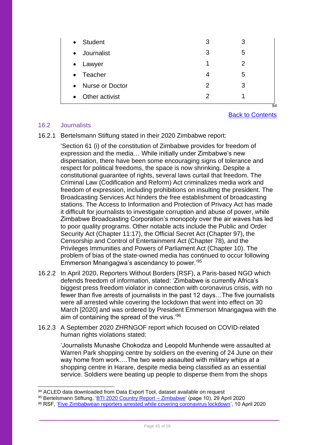| <b>Student</b><br>$\bullet$  | 3             | 3 |         |
|------------------------------|---------------|---|---------|
| Journalist<br>$\bullet$      | 3             | 5 |         |
| Lawyer<br>$\bullet$          | 1             | 2 |         |
| Teacher<br>$\bullet$         | 4             | 5 |         |
| Nurse or Doctor<br>$\bullet$ | $\mathcal{P}$ | 3 |         |
| Other activist<br>$\bullet$  | 2             |   |         |
|                              |               |   | $Q_{A}$ |

[Back to Contents](#page-2-0)

### <span id="page-44-0"></span>16.2 Journalists

16.2.1 Bertelsmann Stiftung stated in their 2020 Zimbabwe report:

'Section 61 (i) of the constitution of Zimbabwe provides for freedom of expression and the media… While initially under Zimbabwe's new dispensation, there have been some encouraging signs of tolerance and respect for political freedoms, the space is now shrinking. Despite a constitutional guarantee of rights, several laws curtail that freedom. The Criminal Law (Codification and Reform) Act criminalizes media work and freedom of expression, including prohibitions on insulting the president. The Broadcasting Services Act hinders the free establishment of broadcasting stations. The Access to Information and Protection of Privacy Act has made it difficult for journalists to investigate corruption and abuse of power, while Zimbabwe Broadcasting Corporation's monopoly over the air waves has led to poor quality programs. Other notable acts include the Public and Order Security Act (Chapter 11:17), the Official Secret Act (Chapter 97), the Censorship and Control of Entertainment Act (Chapter 78), and the Privileges Immunities and Powers of Parliament Act (Chapter 10). The problem of bias of the state-owned media has continued to occur following Emmerson Mnangagwa's ascendancy to power.' 95

- 16.2.2 In April 2020, Reporters Without Borders (RSF), a Paris-based NGO which defends freedom of information, stated: 'Zimbabwe is currently Africa's biggest press freedom violator in connection with coronavirus crisis, with no fewer than five arrests of journalists in the past 12 days…The five journalists were all arrested while covering the lockdown that went into effect on 30 March [2020] and was ordered by President Emmerson Mnangagwa with the aim of containing the spread of the virus.'<sup>96</sup>
- 16.2.3 A September 2020 ZHRNGOF report which focused on COVID-related human rights violations stated:

'Journalists Munashe Chokodza and Leopold Munhende were assaulted at Warren Park shopping centre by soldiers on the evening of 24 June on their way home from work….The two were assaulted with military whips at a shopping centre in Harare, despite media being classified as an essential service. Soldiers were beating up people to disperse them from the shops

<sup>94</sup> ACLED data downloaded from Data Export Tool, dataset available on request

<sup>95</sup> Bertelsmann Stiftung, 'BTI 2020 Country Report - Zimbabwe' (page 10), 29 April 2020

<sup>96</sup> RSF, ['Five Zimbabwean reporters arrested while covering coronavirus lockdown',](https://rsf.org/en/news/five-zimbabwean-reporters-arrested-while-covering-coronavirus-lockdown) 10 April 2020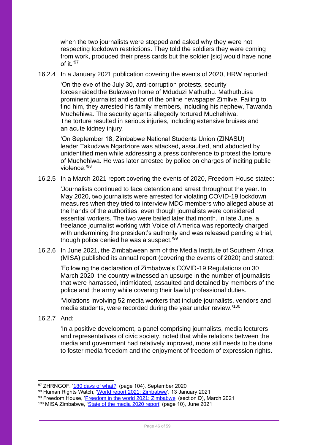when the two journalists were stopped and asked why they were not respecting lockdown restrictions. They told the soldiers they were coming from work, produced their press cards but the soldier [sic] would have none of it. $97$ 

16.2.4 In a January 2021 publication covering the events of 2020, HRW reported:

'On the eve of the July 30, anti-corruption protests, security forces raided the Bulawayo home of Mduduzi Mathuthu. Mathuthuisa prominent journalist and editor of the online newspaper Zimlive. Failing to find him, they arrested his family members, including his nephew, Tawanda Muchehiwa. The security agents allegedly tortured Muchehiwa. The torture resulted in serious injuries, including extensive bruises and an acute kidney injury.

'On September 18, Zimbabwe National Students Union (ZINASU) leader Takudzwa Ngadziore was attacked, assaulted, and abducted by unidentified men while addressing a press conference to protest the torture of Muchehiwa. He was later arrested by police on charges of inciting public violence.'<sup>98</sup>

16.2.5 In a March 2021 report covering the events of 2020, Freedom House stated:

'Journalists continued to face detention and arrest throughout the year. In May 2020, two journalists were arrested for violating COVID-19 lockdown measures when they tried to interview MDC members who alleged abuse at the hands of the authorities, even though journalists were considered essential workers. The two were bailed later that month. In late June, a freelance journalist working with Voice of America was reportedly charged with undermining the president's authority and was released pending a trial, though police denied he was a suspect.'<sup>99</sup>

16.2.6 In June 2021, the Zimbabwean arm of the Media Institute of Southern Africa (MISA) published its annual report (covering the events of 2020) and stated:

'Following the declaration of Zimbabwe's COVID-19 Regulations on 30 March 2020, the country witnessed an upsurge in the number of journalists that were harrassed, intimidated, assaulted and detained by members of the police and the army while covering their lawful professional duties.

'Violations involving 52 media workers that include journalists, vendors and media students, were recorded during the year under review.'<sup>100</sup>

16.2.7 And:

'In a positive development, a panel comprising journalists, media lecturers and representatives of civic society, noted that while relations between the media and government had relatively improved, more still needs to be done to foster media freedom and the enjoyment of freedom of expression rights.

- 98 Human Rights Watch, ['World report 2021: Zimbabwe',](https://www.hrw.org/world-report/2021/country-chapters/zimbabwe) 13 January 2021
- <sup>99</sup> Freedom House, '<u>Freedom in the world 2021: Zimbabwe</u>' (section D), March 2021

<sup>&</sup>lt;sup>97</sup> ZHRNGOF, '<u>180 days of what?</u>' (page 104), September 2020

<sup>100</sup> MISA Zimbabwe, ['State of the media 2020 report'](https://data.misa.org/en/entity/dgfc1wcg8f?page=1) (page 10), June 2021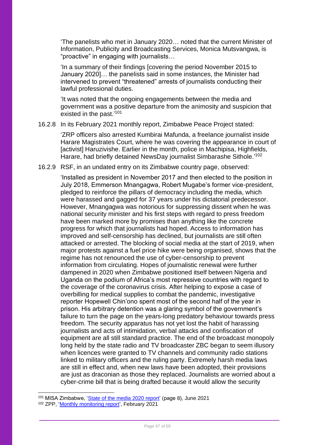'The panelists who met in January 2020… noted that the current Minister of Information, Publicity and Broadcasting Services, Monica Mutsvangwa, is "proactive" in engaging with journalists…

'In a summary of their findings [covering the period November 2015 to January 2020]… the panelists said in some instances, the Minister had intervened to prevent "threatened" arrests of journalists conducting their lawful professional duties.

'It was noted that the ongoing engagements between the media and government was a positive departure from the animosity and suspicion that existed in the past.'<sup>101</sup>

### 16.2.8 In its February 2021 monthly report, Zimbabwe Peace Project stated:

'ZRP officers also arrested Kumbirai Mafunda, a freelance journalist inside Harare Magistrates Court, where he was covering the appearance in court of [activist] Haruzivishe. Earlier in the month, police in Machipisa, Highfields, Harare, had briefly detained NewsDay journalist Simbarashe Sithole.'<sup>102</sup>

### 16.2.9 RSF, in an undated entry on its Zimbabwe country page, observed:

'Installed as president in November 2017 and then elected to the position in July 2018, Emmerson Mnangagwa, Robert Mugabe's former vice-president, pledged to reinforce the pillars of democracy including the media, which were harassed and gagged for 37 years under his dictatorial predecessor. However, Mnangagwa was notorious for suppressing dissent when he was national security minister and his first steps with regard to press freedom have been marked more by promises than anything like the concrete progress for which that journalists had hoped. Access to information has improved and self-censorship has declined, but journalists are still often attacked or arrested. The blocking of social media at the start of 2019, when major protests against a fuel price hike were being organised, shows that the regime has not renounced the use of cyber-censorship to prevent information from circulating. Hopes of journalistic renewal were further dampened in 2020 when Zimbabwe positioned itself between Nigeria and Uganda on the podium of Africa's most repressive countries with regard to the coverage of the coronavirus crisis. After helping to expose a case of overbilling for medical supplies to combat the pandemic, investigative reporter Hopewell Chin'ono spent most of the second half of the year in prison. His arbitrary detention was a glaring symbol of the government's failure to turn the page on the years-long predatory behaviour towards press freedom. The security apparatus has not yet lost the habit of harassing journalists and acts of intimidation, verbal attacks and confiscation of equipment are all still standard practice. The end of the broadcast monopoly long held by the state radio and TV broadcaster ZBC began to seem illusory when licences were granted to TV channels and community radio stations linked to military officers and the ruling party. Extremely harsh media laws are still in effect and, when new laws have been adopted, their provisions are just as draconian as those they replaced. Journalists are worried about a cyber-crime bill that is being drafted because it would allow the security

<sup>101</sup> MISA Zimbabwe, ['State of the media 2020 report'](https://data.misa.org/en/entity/dgfc1wcg8f?page=1) (page 8), June 2021

<sup>102</sup> ZPP, ['Monthly monitoring report'](https://data.zimpeaceproject.com/en/entity/8u0yiuiasg5?page=1), February 2021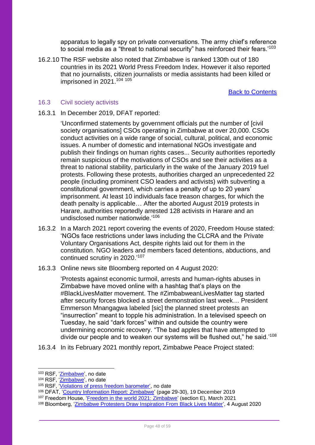apparatus to legally spy on private conversations. The army chief's reference to social media as a "threat to national security" has reinforced their fears.'<sup>103</sup>

16.2.10 The RSF website also noted that Zimbabwe is ranked 130th out of 180 countries in its 2021 World Press Freedom Index. However it also reported that no journalists, citizen journalists or media assistants had been killed or imprisoned in 2021.<sup>104 105</sup>

[Back to Contents](#page-2-0)

### <span id="page-47-0"></span>16.3 Civil society activists

### 16.3.1 In December 2019, DFAT reported:

'Unconfirmed statements by government officials put the number of [civil society organisations] CSOs operating in Zimbabwe at over 20,000. CSOs conduct activities on a wide range of social, cultural, political, and economic issues. A number of domestic and international NGOs investigate and publish their findings on human rights cases... Security authorities reportedly remain suspicious of the motivations of CSOs and see their activities as a threat to national stability, particularly in the wake of the January 2019 fuel protests. Following these protests, authorities charged an unprecedented 22 people (including prominent CSO leaders and activists) with subverting a constitutional government, which carries a penalty of up to 20 years' imprisonment. At least 10 individuals face treason charges, for which the death penalty is applicable… After the aborted August 2019 protests in Harare, authorities reportedly arrested 128 activists in Harare and an undisclosed number nationwide.' 106

- 16.3.2 In a March 2021 report covering the events of 2020, Freedom House stated: 'NGOs face restrictions under laws including the CLCRA and the Private Voluntary Organisations Act, despite rights laid out for them in the constitution. NGO leaders and members faced detentions, abductions, and continued scrutiny in 2020.'<sup>107</sup>
- 16.3.3 Online news site Bloomberg reported on 4 August 2020:

'Protests against economic turmoil, arrests and human-rights abuses in Zimbabwe have moved online with a hashtag that's plays on the #BlackLivesMatter movement. The #ZimbabweanLivesMatter tag started after security forces blocked a street demonstration last week… President Emmerson Mnangagwa labeled [sic] the planned street protests an "insurrection" meant to topple his administration. In a televised speech on Tuesday, he said "dark forces" within and outside the country were undermining economic recovery. "The bad apples that have attempted to divide our people and to weaken our systems will be flushed out," he said.'108

16.3.4 In its February 2021 monthly report, Zimbabwe Peace Project stated:

<sup>&</sup>lt;sup>103</sup> RSF, ['Zimbabwe',](https://rsf.org/en/zimbabwe) no date

<sup>&</sup>lt;sup>104</sup> RSF, '<u>Zimbabwe</u>', no date

<sup>&</sup>lt;sup>105</sup> RSF, '*Violations of press freedom barometer'*, no date

<sup>&</sup>lt;sup>106</sup> DFAT, ['Country Information Report: Zimbabwe'](https://www.dfat.gov.au/sites/default/files/country-information-report-zimbabwe.pdf) (page 29-30), 19 December 2019

<sup>&</sup>lt;sup>107</sup> Freedom House, ['Freedom in the world 2021: Zimbabwe'](https://freedomhouse.org/country/zimbabwe/freedom-world/2021) (section E), March 2021

<sup>108</sup> Bloomberg, ['Zimbabwe Protesters Draw Inspiration From Black Lives Matter',](https://www.bloomberg.com/news/articles/2020-08-04/zimbabwe-protesters-draw-inspiration-from-blacklivesmatter?sref=4YPf4uFp) 4 August 2020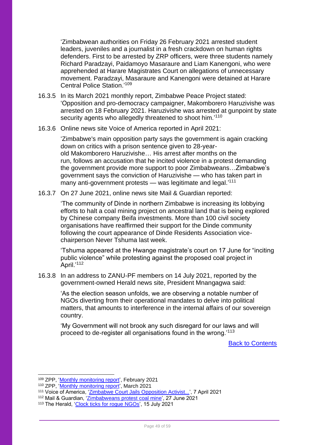'Zimbabwean authorities on Friday 26 February 2021 arrested student leaders, juveniles and a journalist in a fresh crackdown on human rights defenders. First to be arrested by ZRP officers, were three students namely Richard Paradzayi, Paidamoyo Masaraure and Liam Kanengoni, who were apprehended at Harare Magistrates Court on allegations of unnecessary movement. Paradzayi, Masaraure and Kanengoni were detained at Harare Central Police Station<sup>'109</sup>

- 16.3.5 In its March 2021 monthly report, Zimbabwe Peace Project stated: 'Opposition and pro-democracy campaigner, Makomborero Haruzivishe was arrested on 18 February 2021. Haruzivishe was arrested at gunpoint by state security agents who allegedly threatened to shoot him.'<sup>110</sup>
- 16.3.6 Online news site Voice of America reported in April 2021:

'Zimbabwe's main opposition party says the government is again cracking down on critics with a prison sentence given to 28-yearold Makomborero Haruzivishe… His arrest after months on the run, follows an accusation that he incited violence in a protest demanding the government provide more support to poor Zimbabweans…Zimbabwe's government says the conviction of Haruzivishe — who has taken part in many anti-government protests — was legitimate and legal.<sup>'111</sup>

16.3.7 On 27 June 2021, online news site Mail & Guardian reported:

'The community of Dinde in northern Zimbabwe is increasing its lobbying efforts to halt a coal mining project on ancestral land that is being explored by Chinese company Beifa investments. More than 100 civil society organisations have reaffirmed their support for the Dinde community following the court appearance of Dinde Residents Association vicechairperson Never Tshuma last week.

'Tshuma appeared at the Hwange magistrate's court on 17 June for "inciting public violence" while protesting against the proposed coal project in April.'<sup>112</sup>

16.3.8 In an address to ZANU-PF members on 14 July 2021, reported by the government-owned Herald news site, President Mnangagwa said:

'As the election season unfolds, we are observing a notable number of NGOs diverting from their operational mandates to delve into political matters, that amounts to interference in the internal affairs of our sovereign country.

'My Government will not brook any such disregard for our laws and will proceed to de-register all organisations found in the wrong.'<sup>113</sup>

[Back to Contents](#page-2-0)

111 Voice of America, 'Zimbabwe [Court Jails Opposition Activist...',](https://www.voanews.com/africa/zimbabwe-court-jails-opposition-activist-blowing-whistle-during-protest) 7 April 2021

<sup>109</sup> ZPP, ['Monthly monitoring report'](https://data.zimpeaceproject.com/en/entity/8u0yiuiasg5?page=1), February 2021

<sup>110</sup> ZPP, ['Monthly monitoring report'](https://data.zimpeaceproject.com/en/entity/gghdtbe0tbs?page=7), March 2021

<sup>112</sup> Mail & Guardian, ['Zimbabweans protest coal mine',](https://mg.co.za/environment/2021-06-27-zimbabweans-protest-coal-mine/) 27 June 2021

<sup>113</sup> The Herald, ['Clock ticks for rogue NGOs',](https://www.herald.co.zw/clock-ticks-for-rogue-ngos/) 15 July 2021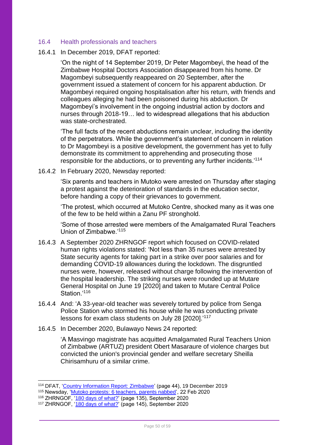### <span id="page-49-0"></span>16.4 Health professionals and teachers

### 16.4.1 In December 2019, DFAT reported:

'On the night of 14 September 2019, Dr Peter Magombeyi, the head of the Zimbabwe Hospital Doctors Association disappeared from his home. Dr Magombeyi subsequently reappeared on 20 September, after the government issued a statement of concern for his apparent abduction. Dr Magombeyi required ongoing hospitalisation after his return, with friends and colleagues alleging he had been poisoned during his abduction. Dr Magombeyi's involvement in the ongoing industrial action by doctors and nurses through 2018-19… led to widespread allegations that his abduction was state-orchestrated.

'The full facts of the recent abductions remain unclear, including the identity of the perpetrators. While the government's statement of concern in relation to Dr Magombeyi is a positive development, the government has yet to fully demonstrate its commitment to apprehending and prosecuting those responsible for the abductions, or to preventing any further incidents.'<sup>114</sup>

16.4.2 In February 2020, Newsday reported:

'Six parents and teachers in Mutoko were arrested on Thursday after staging a protest against the deterioration of standards in the education sector, before handing a copy of their grievances to government.

'The protest, which occurred at Mutoko Centre, shocked many as it was one of the few to be held within a Zanu PF stronghold.

'Some of those arrested were members of the Amalgamated Rural Teachers Union of Zimbabwe.'<sup>115</sup>

- 16.4.3 A September 2020 ZHRNGOF report which focused on COVID-related human rights violations stated: 'Not less than 35 nurses were arrested by State security agents for taking part in a strike over poor salaries and for demanding COVID-19 allowances during the lockdown. The disgruntled nurses were, however, released without charge following the intervention of the hospital leadership. The striking nurses were rounded up at Mutare General Hospital on June 19 [2020] and taken to Mutare Central Police Station<sup>'116</sup>
- 16.4.4 And: 'A 33-year-old teacher was severely tortured by police from Senga Police Station who stormed his house while he was conducting private lessons for exam class students on July 28 [2020].'<sup>117</sup>
- 16.4.5 In December 2020, Bulawayo News 24 reported:

'A Masvingo magistrate has acquitted Amalgamated Rural Teachers Union of Zimbabwe (ARTUZ) president Obert Masaraure of violence charges but convicted the union's provincial gender and welfare secretary Sheilla Chirisamhuru of a similar crime.

<sup>&</sup>lt;sup>114</sup> DFAT, ['Country Information Report: Zimbabwe'](https://www.dfat.gov.au/sites/default/files/country-information-report-zimbabwe.pdf) (page 44), 19 December 2019

<sup>&</sup>lt;sup>115</sup> Newsday, '*Mutoko protests: 6 teachers, parents nabbed'*, 22 Feb 2020

<sup>&</sup>lt;sup>116</sup> ZHRNGOF, ['180 days of what?'](http://kubatana.net/wp-content/uploads/2020/10/180-Days-of-What-lr.pdf) (page 135), September 2020

<sup>&</sup>lt;sup>117</sup> ZHRNGOF, ['180 days of what?'](http://kubatana.net/wp-content/uploads/2020/10/180-Days-of-What-lr.pdf) (page 145), September 2020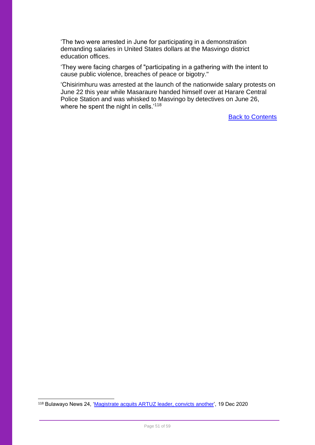'The two were arrested in June for participating in a demonstration demanding salaries in United States dollars at the Masvingo district education offices.

'They were facing charges of "participating in a gathering with the intent to cause public violence, breaches of peace or bigotry."

'Chisirimhuru was arrested at the launch of the nationwide salary protests on June 22 this year while Masaraure handed himself over at Harare Central Police Station and was whisked to Masvingo by detectives on June 26, where he spent the night in cells.<sup>'118</sup>

[Back to Contents](#page-2-0)

118 Bulawayo News 24, ['Magistrate acquits ARTUZ leader, convicts another',](https://bulawayo24.com/index-id-news-sc-local-byo-196491.html) 19 Dec 2020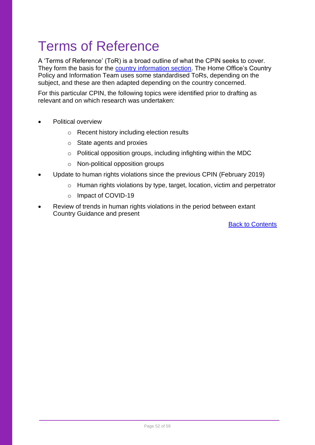## <span id="page-51-0"></span>Terms of Reference

A 'Terms of Reference' (ToR) is a broad outline of what the CPIN seeks to cover. They form the basis for the [country information section.](#page-13-0) The Home Office's Country Policy and Information Team uses some standardised ToRs, depending on the subject, and these are then adapted depending on the country concerned.

For this particular CPIN, the following topics were identified prior to drafting as relevant and on which research was undertaken:

- Political overview
	- o Recent history including election results
	- o State agents and proxies
	- o Political opposition groups, including infighting within the MDC
	- o Non-political opposition groups
- Update to human rights violations since the previous CPIN (February 2019)
	- o Human rights violations by type, target, location, victim and perpetrator
	- o Impact of COVID-19
- Review of trends in human rights violations in the period between extant Country Guidance and present

[Back to Contents](#page-2-0)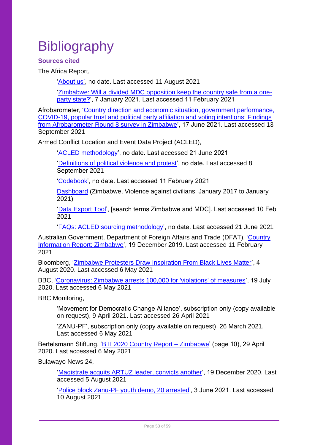# <span id="page-52-0"></span>**Bibliography**

### <span id="page-52-1"></span>**Sources cited**

The Africa Report,

['About us',](https://www.theafricareport.com/about-us/) no date. Last accessed 11 August 2021

['Zimbabwe: Will a divided MDC opposition keep the country safe from a one](https://www.theafricareport.com/57513/zimbabwe-will-a-divided-mdc-opposition-keep-the-country-safe-from-a-one-party-state/)[party state?'](https://www.theafricareport.com/57513/zimbabwe-will-a-divided-mdc-opposition-keep-the-country-safe-from-a-one-party-state/), 7 January 2021. Last accessed 11 February 2021

Afrobarometer, ['Country direction and economic situation, government performance,](https://afrobarometer.org/media-briefings/findings-afrobarometer-round-8-survey-zimbabwe)  [COVID-19, popular trust and political party affiliation and voting intentions: Findings](https://afrobarometer.org/media-briefings/findings-afrobarometer-round-8-survey-zimbabwe)  [from Afrobarometer Round 8 survey in Zimbabwe'](https://afrobarometer.org/media-briefings/findings-afrobarometer-round-8-survey-zimbabwe), 17 June 2021. Last accessed 13 September 2021

Armed Conflict Location and Event Data Project (ACLED),

['ACLED methodology'](https://acleddata.com/acleddatanew/wp-content/uploads/dlm_uploads/2019/04/Methodology-Overview_FINAL.pdf), no date. Last accessed 21 June 2021

['Definitions of political violence and protest'](https://acleddata.com/acleddatanew/wp-content/uploads/dlm_uploads/2019/04/ACLED-Event-Definitions_Final.pdf), no date. Last accessed 8 September 2021

['Codebook'](https://acleddata.com/acleddatanew/wp-content/uploads/dlm_uploads/2019/01/ACLED_Codebook_2019FINAL.docx.pdf), no date. Last accessed 11 February 2021

[Dashboard](https://acleddata.com/dashboard/#/dashboard/D01C53462E5833E91EE2B5B6A86F939D) (Zimbabwe, Violence against civilians, January 2017 to January 2021)

['Data Export Tool'](https://acleddata.com/data-export-tool/), [search terms Zimbabwe and MDC]. Last accessed 10 Feb 2021

['FAQs: ACLED sourcing methodology'](https://acleddata.com/acleddatanew/wp-content/uploads/dlm_uploads/2020/02/FAQs_ACLED-Sourcing-Methodology.pdf), no date. Last accessed 21 June 2021

Australian Government, Department of Foreign Affairs and Trade (DFAT), ['Country](https://www.dfat.gov.au/sites/default/files/country-information-report-zimbabwe.pdf)  [Information Report: Zimbabwe'](https://www.dfat.gov.au/sites/default/files/country-information-report-zimbabwe.pdf), 19 December 2019. Last accessed 11 February 2021

Bloomberg, ['Zimbabwe Protesters Draw Inspiration From Black Lives Matter'](https://www.bloomberg.com/news/articles/2020-08-04/zimbabwe-protesters-draw-inspiration-from-blacklivesmatter?sref=4YPf4uFp), 4 August 2020. Last accessed 6 May 2021

BBC, ['Coronavirus: Zimbabwe arrests 100,000 for 'violations' of measures'](https://www.bbc.co.uk/news/world-africa-53462259), 19 July 2020. Last accessed 6 May 2021

BBC Monitoring,

'Movement for Democratic Change Alliance', subscription only (copy available on request), 9 April 2021. Last accessed 26 April 2021

'ZANU-PF', subscription only (copy available on request), 26 March 2021. Last accessed 6 May 2021

Bertelsmann Stiftung, ['BTI 2020 Country Report –](https://www.bti-project.org/content/en/downloads/reports/country_report_2020_ZWE.pdf) Zimbabwe' (page 10), 29 April 2020. Last accessed 6 May 2021

Bulawayo News 24,

['Magistrate acquits ARTUZ leader, convicts another'](https://bulawayo24.com/index-id-news-sc-local-byo-196491.html), 19 December 2020. Last accessed 5 August 2021

['Police block Zanu-PF youth demo, 20 arrested'](https://bulawayo24.com/index-id-news-sc-national-byo-204558.html), 3 June 2021. Last accessed 10 August 2021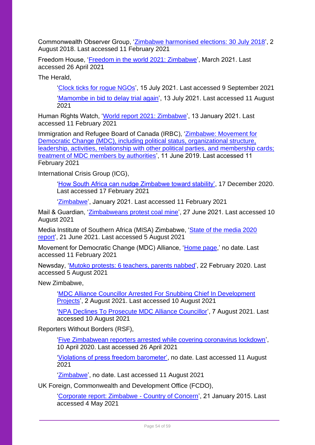Commonwealth Observer Group, 'Zimbabwe harmonised [elections: 30 July 2018'](https://thecommonwealth.org/sites/default/files/inline/Zimbabwe%202018%20COG%20Report%20-%20Final.pdf), 2 August 2018. Last accessed 11 February 2021

Freedom House, ['Freedom in the world 2021: Zimbabwe'](https://freedomhouse.org/country/zimbabwe/freedom-world/2021), March 2021. Last accessed 26 April 2021

The Herald,

['Clock ticks for rogue NGOs'](https://www.herald.co.zw/clock-ticks-for-rogue-ngos/), 15 July 2021. Last accessed 9 September 2021

['Mamombe in bid to delay trial again'](https://www.herald.co.zw/mamombe-in-bid-to-delay-trial-again/), 13 July 2021. Last accessed 11 August 2021

Human Rights Watch, ['World report 2021: Zimbabwe'](https://www.hrw.org/world-report/2021/country-chapters/zimbabwe), 13 January 2021. Last accessed 11 February 2021

Immigration and Refugee Board of Canada (IRBC), ['Zimbabwe: Movement for](https://irb-cisr.gc.ca/en/country-information/rir/Pages/index.aspx?doc=457808)  [Democratic Change \(MDC\), including political status, organizational structure,](https://irb-cisr.gc.ca/en/country-information/rir/Pages/index.aspx?doc=457808)  [leadership, activities, relationship with other political parties, and membership cards;](https://irb-cisr.gc.ca/en/country-information/rir/Pages/index.aspx?doc=457808)  [treatment of MDC members by authorities'](https://irb-cisr.gc.ca/en/country-information/rir/Pages/index.aspx?doc=457808), 11 June 2019. Last accessed 11 February 2021

International Crisis Group (ICG),

['How South Africa can nudge Zimbabwe toward stability',](https://www.crisisgroup.org/africa/southern-africa/zimbabwe/b164-how-south-africa-can-nudge-zimbabwe-toward-stability) 17 December 2020. Last accessed 17 February 2021

['Zimbabwe'](https://www.crisisgroup.org/crisiswatch/february-alerts-and-january-trends-2021#zimbabwe), January 2021. Last accessed 11 February 2021

Mail & Guardian, ['Zimbabweans protest coal mine'](https://mg.co.za/environment/2021-06-27-zimbabweans-protest-coal-mine/), 27 June 2021. Last accessed 10 August 2021

Media Institute of Southern Africa (MISA) Zimbabwe, ['State of the media 2020](https://data.misa.org/en/entity/dgfc1wcg8f?page=1)  [report'](https://data.misa.org/en/entity/dgfc1wcg8f?page=1), 21 June 2021. Last accessed 5 August 2021

Movement for Democratic Change (MDC) Alliance, ['Home page,](https://www.mdcallianceparty.org/)' no date. Last accessed 11 February 2021

Newsday, ['Mutoko protests: 6 teachers, parents nabbed'](https://www.newsday.co.zw/2020/02/mutoko-protests-6-teachers-parents-nabbed/), 22 February 2020. Last accessed 5 August 2021

New Zimbabwe,

['MDC Alliance Councillor Arrested For Snubbing Chief In Development](https://www.newzimbabwe.com/mdc-alliance-councillor-arrested-for-snubbing-chief-in-development-projects/)  [Projects'](https://www.newzimbabwe.com/mdc-alliance-councillor-arrested-for-snubbing-chief-in-development-projects/), 2 August 2021. Last accessed 10 August 2021

['NPA Declines To Prosecute MDC Alliance Councillor'](https://www.newzimbabwe.com/npa-declines-to-prosecute-mdc-alliance-councillor/), 7 August 2021. Last accessed 10 August 2021

Reporters Without Borders (RSF),

['Five Zimbabwean reporters arrested while covering coronavirus lockdown'](https://rsf.org/en/news/five-zimbabwean-reporters-arrested-while-covering-coronavirus-lockdown), 10 April 2020. Last accessed 26 April 2021

['Violations of press freedom barometer',](https://rsf.org/en/barometer?year=2021&type_id=236#list-barometre) no date. Last accessed 11 August 2021

['Zimbabwe'](https://rsf.org/en/zimbabwe), no date. Last accessed 11 August 2021

UK Foreign, Commonwealth and Development Office (FCDO),

['Corporate report: Zimbabwe -](https://www.gov.uk/government/publications/zimbabwe-country-of-concern/zimbabwe-country-of-concern#access-to-justice-and-the-rule-of-law) Country of Concern', 21 January 2015. Last accessed 4 May 2021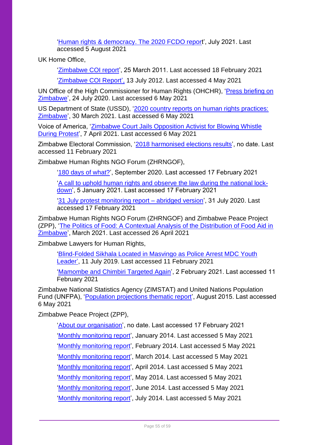['Human rights & democracy. The 2020 FCDO report](https://assets.publishing.service.gov.uk/government/uploads/system/uploads/attachment_data/file/999607/Human_Rights_and_Democracy_the_2020_Foreign__Commonwealth___Development_Office_report.pdf)', July 2021. Last accessed 5 August 2021

UK Home Office,

['Zimbabwe COI report'](https://www.ecoi.net/en/file/local/1164902/1226_1303900727_report-03-11.pdf), 25 March 2011. Last accessed 18 February 2021

['Zimbabwe COI Report'](https://www.ecoi.net/en/file/local/1177804/90_1342423801_ukba-2012-07-13-zimbabwe-coi-report.pdf), 13 July 2012. Last accessed 4 May 2021

UN Office of the High Commissioner for Human Rights (OHCHR), ['Press briefing on](https://www.ohchr.org/en/NewsEvents/Pages/DisplayNews.aspx?NewsID=26121&LangID=E)  [Zimbabwe'](https://www.ohchr.org/en/NewsEvents/Pages/DisplayNews.aspx?NewsID=26121&LangID=E), 24 July 2020. Last accessed 6 May 2021

US Department of State (USSD), ['2020 country reports on human rights practices:](https://www.state.gov/reports/2020-country-reports-on-human-rights-practices/zimbabwe/)  [Zimbabwe'](https://www.state.gov/reports/2020-country-reports-on-human-rights-practices/zimbabwe/), 30 March 2021. Last accessed 6 May 2021

Voice of America, ['Zimbabwe Court Jails Opposition Activist for Blowing Whistle](https://www.voanews.com/africa/zimbabwe-court-jails-opposition-activist-blowing-whistle-during-protest)  [During Protest'](https://www.voanews.com/africa/zimbabwe-court-jails-opposition-activist-blowing-whistle-during-protest), 7 April 2021. Last accessed 6 May 2021

Zimbabwe Electoral Commission, ['2018 harmonised elections results'](https://www.zec.org.zw/pages/election_results2018), no date. Last accessed 11 February 2021

Zimbabwe Human Rights NGO Forum (ZHRNGOF),

['180 days of what?'](http://kubatana.net/wp-content/uploads/2020/10/180-Days-of-What-lr.pdf), September 2020. Last accessed 17 February 2021

['A call to uphold human rights and observe the law during the national lock](http://kubatana.net/2021/01/05/a-call-to-uphold-human-rights-and-observe-the-law-during-the-national-lock-down/)[down'](http://kubatana.net/2021/01/05/a-call-to-uphold-human-rights-and-observe-the-law-during-the-national-lock-down/), 5 January 2021. Last accessed 17 February 2021

['31 July protest monitoring report –](http://kubatana.net/2020/07/31/31-july-protest-monitoring-report-abridged-version/) abridged version', 31 July 2020. Last accessed 17 February 2021

Zimbabwe Human Rights NGO Forum (ZHRNGOF) and Zimbabwe Peace Project (ZPP), ['The Politics of Food: A Contextual Analysis of the Distribution of Food Aid in](https://reliefweb.int/sites/reliefweb.int/files/resources/1615803851127r38eqzh83co.pdf)  [Zimbabwe'](https://reliefweb.int/sites/reliefweb.int/files/resources/1615803851127r38eqzh83co.pdf), March 2021. Last accessed 26 April 2021

Zimbabwe Lawyers for Human Rights,

['Blind-Folded Sikhala Located in Masvingo as Police Arrest MDC Youth](https://www.zlhr.org.zw/?p=1760)  [Leader'](https://www.zlhr.org.zw/?p=1760), 11 July 2019. Last accessed 11 February 2021

['Mamombe and Chimbiri Targeted Again'](https://www.zlhr.org.zw/?p=2278), 2 February 2021. Last accessed 11 February 2021

Zimbabwe National Statistics Agency (ZIMSTAT) and United Nations Population Fund (UNFPA), ['Population projections thematic report'](https://zimbabwe.unfpa.org/sites/default/files/pub-pdf/population_projection_1.pdf), August 2015. Last accessed 6 May 2021

Zimbabwe Peace Project (ZPP),

['About our organisation'](https://zimpeaceproject.com/about-our-company/), no date. Last accessed 17 February 2021

['Monthly monitoring report'](https://reliefweb.int/report/zimbabwe/zpp-monthly-monitor-january-2014), January 2014. Last accessed 5 May 2021

['Monthly monitoring report'](https://reliefweb.int/report/zimbabwe/zpp-monthly-monitor-february-2014), February 2014. Last accessed 5 May 2021

['Monthly monitoring report'](https://reliefweb.int/report/zimbabwe/zpp-monthly-monitor-march-2014), March 2014. Last accessed 5 May 2021

['Monthly monitoring report'](https://reliefweb.int/report/zimbabwe/zpp-monthly-monitor-april-2014), April 2014. Last accessed 5 May 2021

['Monthly monitoring report'](https://reliefweb.int/report/zimbabwe/zpp-monthly-monitor-may-2014), May 2014. Last accessed 5 May 2021

['Monthly monitoring report'](https://reliefweb.int/report/zimbabwe/zpp-monthly-monitor-june-2014), June 2014. Last accessed 5 May 2021

['Monthly monitoring report'](https://reliefweb.int/report/zimbabwe/zpp-monthly-monitor-july-2014), July 2014. Last accessed 5 May 2021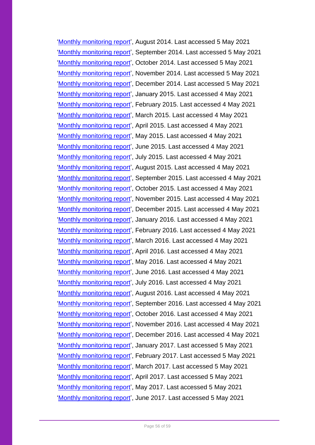['Monthly monitoring report'](https://reliefweb.int/report/zimbabwe/zpp-monthly-monitor-august-2014), August 2014. Last accessed 5 May 2021 ['Monthly monitoring report'](https://reliefweb.int/report/zimbabwe/zpp-monthly-monitor-september-2014), September 2014. Last accessed 5 May 2021 ['Monthly monitoring report'](https://reliefweb.int/report/zimbabwe/zpp-monthly-monitor-october-2014), October 2014. Last accessed 5 May 2021 ['Monthly monitoring report'](https://reliefweb.int/report/zimbabwe/zpp-monthly-monitor-november-2014), November 2014. Last accessed 5 May 2021 ['Monthly monitoring report'](https://reliefweb.int/report/zimbabwe/zpp-monthly-monitor-december-2014), December 2014. Last accessed 5 May 2021 ['Monthly monitoring report'](https://data.zimpeaceproject.com/entity/7qarxwlpofx?file=1600266127448msdv0grxn9j.pdf&page=1), January 2015. Last accessed 4 May 2021 ['Monthly monitoring report'](https://data.zimpeaceproject.com/en/entity/t2aimiadxy?page=17), February 2015. Last accessed 4 May 2021 ['Monthly monitoring report'](https://data.zimpeaceproject.com/en/entity/er5irwlq02k?page=13), March 2015. Last accessed 4 May 2021 ['Monthly monitoring report'](https://data.zimpeaceproject.com/en/entity/5uc80nhjqht?page=18), April 2015. Last accessed 4 May 2021 ['Monthly monitoring report'](https://data.zimpeaceproject.com/en/entity/rn11xts99u?page=3), May 2015. Last accessed 4 May 2021 ['Monthly monitoring report'](https://data.zimpeaceproject.com/en/entity/gy5oez6isbi?page=4), June 2015. Last accessed 4 May 2021 ['Monthly monitoring report'](https://data.zimpeaceproject.com/en/entity/dtzthc3fgd?page=1), July 2015. Last accessed 4 May 2021 ['Monthly monitoring report'](https://data.zimpeaceproject.com/en/entity/ksiumq33jfi?page=9), August 2015. Last accessed 4 May 2021 ['Monthly monitoring report'](https://data.zimpeaceproject.com/en/entity/bi2tm7gwtfe?page=1), September 2015. Last accessed 4 May 2021 ['Monthly monitoring report'](https://data.zimpeaceproject.com/en/entity/lksotktln), October 2015. Last accessed 4 May 2021 ['Monthly monitoring report'](https://data.zimpeaceproject.com/en/entity/47ht7sjvn4n?page=1), November 2015. Last accessed 4 May 2021 ['Monthly monitoring report'](https://data.zimpeaceproject.com/en/entity/tafqsdfmex?page=1), December 2015. Last accessed 4 May 2021 ['Monthly monitoring report'](https://data.zimpeaceproject.com/en/entity/0ytqn92e343?page=1), January 2016. Last accessed 4 May 2021 ['Monthly monitoring report'](https://data.zimpeaceproject.com/en/entity/adf72wt4mod?page=12), February 2016. Last accessed 4 May 2021 ['Monthly monitoring report'](https://data.zimpeaceproject.com/en/entity/hoe5jfzmvoi), March 2016. Last accessed 4 May 2021 ['Monthly monitoring report'](https://data.zimpeaceproject.com/en/entity/e36xg5sk8i?page=11), April 2016. Last accessed 4 May 2021 ['Monthly monitoring report'](https://data.zimpeaceproject.com/en/entity/l6gkm3g8en?page=11), May 2016. Last accessed 4 May 2021 ['Monthly monitoring report'](https://data.zimpeaceproject.com/en/entity/veqinmmaxa?page=11), June 2016. Last accessed 4 May 2021 'Monthly [monitoring report'](https://data.zimpeaceproject.com/en/entity/u7kqog5893?page=12), July 2016. Last accessed 4 May 2021 ['Monthly monitoring report'](https://data.zimpeaceproject.com/en/entity/pdq98z9x37f?page=10), August 2016. Last accessed 4 May 2021 ['Monthly monitoring report'](https://data.zimpeaceproject.com/en/entity/4m44na65swp?page=10), September 2016. Last accessed 4 May 2021 ['Monthly monitoring report'](https://data.zimpeaceproject.com/en/entity/znz34vadtmi?page=10), October 2016. Last accessed 4 May 2021 ['Monthly monitoring report'](https://data.zimpeaceproject.com/en/entity/4s4a5nwq62x?page=9), November 2016. Last accessed 4 May 2021 ['Monthly monitoring report'](https://data.zimpeaceproject.com/en/entity/ct4xak1c3y9?page=9), December 2016. Last accessed 4 May 2021 ['Monthly monitoring report'](https://data.zimpeaceproject.com/en/entity/bym3prt0j67), January 2017. Last accessed 5 May 2021 ['Monthly monitoring report'](https://data.zimpeaceproject.com/en/entity/md386l4wpz), February 2017. Last accessed 5 May 2021 ['Monthly monitoring report'](https://data.zimpeaceproject.com/en/entity/vd29izph5tb), March 2017. Last accessed 5 May 2021 ['Monthly monitoring report'](https://data.zimpeaceproject.com/en/entity/mnkvdut6sal), April 2017. Last accessed 5 May 2021 ['Monthly monitoring report'](https://data.zimpeaceproject.com/en/entity/o8j68ijr5kk), May 2017. Last accessed 5 May 2021 ['Monthly monitoring report'](https://data.zimpeaceproject.com/en/entity/1u4bhjm029s), June 2017. Last accessed 5 May 2021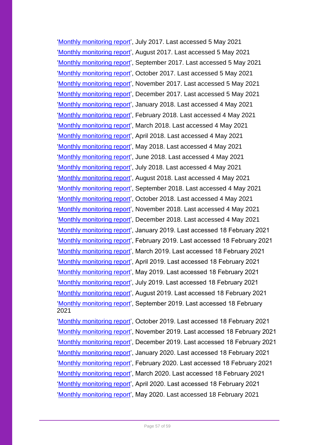['Monthly monitoring report'](https://data.zimpeaceproject.com/en/entity/vyqky9619v), July 2017. Last accessed 5 May 2021 ['Monthly monitoring report'](https://data.zimpeaceproject.com/entity/s3tgknp0nmn?file=1604568296838bqv08j3dr8c.pdf), August 2017. Last accessed 5 May 2021 ['Monthly monitoring report'](https://data.zimpeaceproject.com/entity/4j2f8wfjaeh?file=1604568335309uyw82c1pyt9.pdf), September 2017. Last accessed 5 May 2021 ['Monthly monitoring report'](https://data.zimpeaceproject.com/entity/o6wmrdu5899?file=1604568318062lz5grqrthub.pdf), October 2017. Last accessed 5 May 2021 ['Monthly monitoring report'](https://reliefweb.int/report/zimbabwe/zpp-monthly-monitoring-report-human-rights-violations-november-2017), November 2017. Last accessed 5 May 2021 ['Monthly monitoring report'](https://reliefweb.int/report/zimbabwe/zpp-monthly-monitoring-report-muddy-waters-december-2017), December 2017. Last accessed 5 May 2021 ['Monthly monitoring report'](https://data.zimpeaceproject.com/en/entity/xw9b4fgeax?page=10), January 2018. Last accessed 4 May 2021 ['Monthly monitoring report'](https://data.zimpeaceproject.com/en/entity/cuud1xh1osa?page=6), February 2018. Last accessed 4 May 2021 ['Monthly monitoring report'](https://data.zimpeaceproject.com/en/entity/03lyqmye4ovh?page=11), March 2018. Last accessed 4 May 2021 ['Monthly monitoring report'](https://data.zimpeaceproject.com/en/entity/vvf99hqcmjr?page=9), April 2018. Last accessed 4 May 2021 ['Monthly monitoring report'](https://data.zimpeaceproject.com/en/entity/n8114bx604k?page=6), May 2018. Last accessed 4 May 2021 ['Monthly monitoring report'](https://data.zimpeaceproject.com/en/entity/l90hcfvlkyd?page=6), June 2018. Last accessed 4 May 2021 ['Monthly monitoring report'](https://data.zimpeaceproject.com/en/entity/xbe92besk3m?page=2), July 2018. Last accessed 4 May 2021 ['Monthly monitoring report'](https://data.zimpeaceproject.com/en/entity/diz0rcvh7sg?page=6), August 2018. Last accessed 4 May 2021 ['Monthly monitoring report'](https://data.zimpeaceproject.com/en/entity/82vcvt2afor?page=1), September 2018. Last accessed 4 May 2021 ['Monthly monitoring report'](https://data.zimpeaceproject.com/en/entity/c0hrprtkcow?page=12), October 2018. Last accessed 4 May 2021 ['Monthly monitoring report'](https://data.zimpeaceproject.com/en/entity/426f25z2s13?page=7), November 2018. Last accessed 4 May 2021 ['Monthly monitoring report'](https://data.zimpeaceproject.com/en/entity/wkkew6mzq3r?page=5), December 2018. Last accessed 4 May 2021 ['Monthly monitoring report'](https://reliefweb.int/report/zimbabwe/zpp-monthly-monitoring-report-human-rights-violations-january-2019), January 2019. Last accessed 18 February 2021 ['Monthly monitoring report'](https://reliefweb.int/report/zimbabwe/zpp-monthly-monitoring-report-human-rights-violations-february-2019), February 2019. Last accessed 18 February 2021 ['Monthly monitoring report'](https://reliefweb.int/report/zimbabwe/zpp-monthly-monitoring-report-human-rights-violations-march-2019), March 2019. Last accessed 18 February 2021 ['Monthly monitoring report'](https://reliefweb.int/report/zimbabwe/zpp-monthly-monitoring-report-human-rights-violations-april-2019), April 2019. Last accessed 18 February 2021 ['Monthly monitoring report'](https://reliefweb.int/report/zimbabwe/zpp-monthly-monitoring-report-human-rights-violations-may-2019), May 2019. Last accessed 18 February 2021 ['Monthly monitoring report'](https://reliefweb.int/report/zimbabwe/zpp-monthly-monitoring-report-july-2019), July 2019. Last accessed 18 February 2021 ['Monthly monitoring report'](https://reliefweb.int/report/zimbabwe/zpp-monthly-monitoring-report-august-2019), August 2019. Last accessed 18 February 2021 ['Monthly monitoring report'](https://reliefweb.int/report/zimbabwe/zpp-monthly-monitoring-report-september-2019), September 2019. Last accessed 18 February 2021 ['Monthly monitoring report'](https://reliefweb.int/sites/reliefweb.int/files/resources/October%202019%20MMR%20.pdf), October 2019. Last accessed 18 February 2021 ['Monthly monitoring report'](https://reliefweb.int/report/zimbabwe/zpp-monthly-monitoring-report-november-2019), November 2019. Last accessed 18 February 2021 ['Monthly monitoring report'](https://reliefweb.int/report/zimbabwe/zpp-monthly-monitoring-report-december-2019), December 2019. Last accessed 18 February 2021 ['Monthly monitoring report'](https://data.zimpeaceproject.com/en/entity/xczs6msvh8p), January 2020. Last accessed 18 February 2021 ['Monthly monitoring report'](https://data.zimpeaceproject.com/en/entity/blkyb8gco1?page=1), February 2020. Last accessed 18 February 2021 ['Monthly monitoring report'](https://data.zimpeaceproject.com/en/entity/b3itqp5xra), March 2020. Last accessed 18 February 2021 ['Monthly monitoring report'](https://data.zimpeaceproject.com/en/entity/t8gzuaee4p?page=1), April 2020. Last accessed 18 February 2021

['Monthly monitoring report'](https://data.zimpeaceproject.com/en/entity/3krg8b1a4vz), May 2020. Last accessed 18 February 2021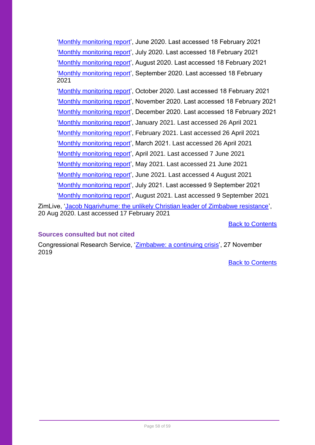['Monthly monitoring report'](https://data.zimpeaceproject.com/en/entity/ns8aa4haim?page=1), June 2020. Last accessed 18 February 2021 ['Monthly monitoring report'](https://data.zimpeaceproject.com/en/entity/32dfa0xfux3), July 2020. Last accessed 18 February 2021 ['Monthly monitoring report'](https://data.zimpeaceproject.com/en/entity/d8wh2rqnqvr), August 2020. Last accessed 18 February 2021 ['Monthly monitoring report'](https://data.zimpeaceproject.com/en/entity/sdhdembnhie), September 2020. Last accessed 18 February 2021 ['Monthly monitoring report'](https://data.zimpeaceproject.com/en/entity/2mq0fwd7guo), October 2020. Last accessed 18 February 2021 ['Monthly monitoring report'](https://data.zimpeaceproject.com/en/entity/tofqx5o4qnd), November 2020. Last accessed 18 February 2021 ['Monthly monitoring report'](https://data.zimpeaceproject.com/en/entity/l70n2lerjbn), December 2020. Last accessed 18 February 2021 ['Monthly monitoring report'](https://data.zimpeaceproject.com/en/entity/vhdaynazhwa?page=7), January 2021. Last accessed 26 April 2021 ['Monthly monitoring report'](https://data.zimpeaceproject.com/en/entity/8u0yiuiasg5), February 2021. Last accessed 26 April 2021 ['Monthly monitoring report'](https://data.zimpeaceproject.com/en/entity/gghdtbe0tbs?page=7), March 2021. Last accessed 26 April 2021 ['Monthly monitoring report'](https://data.zimpeaceproject.com/entity/ri0udzzxfp?file=1620681933488jz4l4edv13.pdf), April 2021. Last accessed 7 June 2021 ['Monthly monitoring report'](https://data.zimpeaceproject.com/en/entity/wn3ojgtt1bp?page=2), May 2021. Last accessed 21 June 2021 ['Monthly monitoring report'](https://data.zimpeaceproject.com/en/entity/txchw6qpnc), June 2021. Last accessed 4 August 2021

['Monthly monitoring report'](https://data.zimpeaceproject.com/entity/gifv29gzmap?file=16286787053243czek2yjw2k.pdf&page=22), July 2021. Last accessed 9 September 2021

['Monthly monitoring report'](https://data.zimpeaceproject.com/en/entity/hu9wjgdw0wr?page=8), August 2021. Last accessed 9 September 2021

ZimLive, ['Jacob Ngarivhume: the unlikely Christian leader of Zimbabwe resistance'](https://www.zimlive.com/2020/08/20/jacob-ngarivhume-the-unlikely-christian-leader-of-zimbabwe-resistance/), 20 Aug 2020. Last accessed 17 February 2021

[Back to Contents](#page-2-0)

### <span id="page-57-0"></span>**Sources consulted but not cited**

Congressional Research Service, ['Zimbabwe: a continuing crisis'](https://crsreports.congress.gov/product/pdf/IF/IF11268), 27 November 2019

[Back to Contents](#page-2-0)